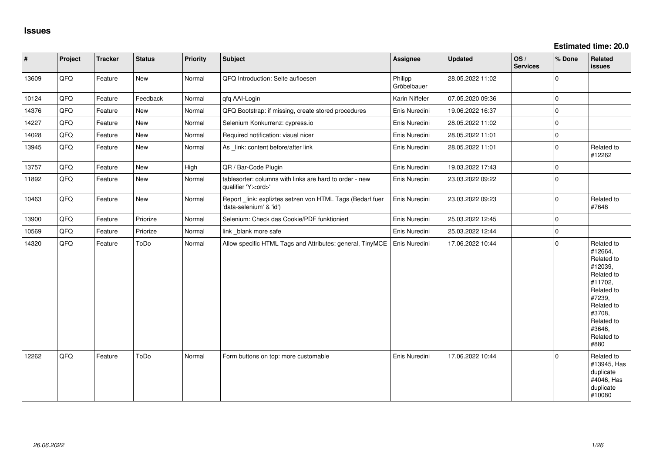**Estimated time: 20.0**

| $\vert$ # | Project | <b>Tracker</b> | <b>Status</b> | Priority | <b>Subject</b>                                                                        | <b>Assignee</b>        | <b>Updated</b>   | OS/<br><b>Services</b> | % Done      | Related<br><b>issues</b>                                                                                                                                              |
|-----------|---------|----------------|---------------|----------|---------------------------------------------------------------------------------------|------------------------|------------------|------------------------|-------------|-----------------------------------------------------------------------------------------------------------------------------------------------------------------------|
| 13609     | QFQ     | Feature        | New           | Normal   | QFQ Introduction: Seite aufloesen                                                     | Philipp<br>Gröbelbauer | 28.05.2022 11:02 |                        | $\mathbf 0$ |                                                                                                                                                                       |
| 10124     | QFQ     | Feature        | Feedback      | Normal   | qfq AAI-Login                                                                         | Karin Niffeler         | 07.05.2020 09:36 |                        | $\mathbf 0$ |                                                                                                                                                                       |
| 14376     | QFQ     | Feature        | New           | Normal   | QFQ Bootstrap: if missing, create stored procedures                                   | Enis Nuredini          | 19.06.2022 16:37 |                        | $\pmb{0}$   |                                                                                                                                                                       |
| 14227     | QFQ     | Feature        | New           | Normal   | Selenium Konkurrenz: cypress.io                                                       | Enis Nuredini          | 28.05.2022 11:02 |                        | $\pmb{0}$   |                                                                                                                                                                       |
| 14028     | QFQ     | Feature        | New           | Normal   | Required notification: visual nicer                                                   | Enis Nuredini          | 28.05.2022 11:01 |                        | $\mathbf 0$ |                                                                                                                                                                       |
| 13945     | QFQ     | Feature        | New           | Normal   | As _link: content before/after link                                                   | Enis Nuredini          | 28.05.2022 11:01 |                        | $\mathbf 0$ | Related to<br>#12262                                                                                                                                                  |
| 13757     | QFQ     | Feature        | New           | High     | QR / Bar-Code Plugin                                                                  | Enis Nuredini          | 19.03.2022 17:43 |                        | $\mathbf 0$ |                                                                                                                                                                       |
| 11892     | QFQ     | Feature        | New           | Normal   | tablesorter: columns with links are hard to order - new<br>qualifier 'Y: <ord>'</ord> | Enis Nuredini          | 23.03.2022 09:22 |                        | $\pmb{0}$   |                                                                                                                                                                       |
| 10463     | QFQ     | Feature        | New           | Normal   | Report _link: expliztes setzen von HTML Tags (Bedarf fuer<br>'data-selenium' & 'id')  | Enis Nuredini          | 23.03.2022 09:23 |                        | $\mathbf 0$ | Related to<br>#7648                                                                                                                                                   |
| 13900     | QFQ     | Feature        | Priorize      | Normal   | Selenium: Check das Cookie/PDF funktioniert                                           | Enis Nuredini          | 25.03.2022 12:45 |                        | $\pmb{0}$   |                                                                                                                                                                       |
| 10569     | QFQ     | Feature        | Priorize      | Normal   | link _blank more safe                                                                 | Enis Nuredini          | 25.03.2022 12:44 |                        | $\pmb{0}$   |                                                                                                                                                                       |
| 14320     | QFQ     | Feature        | ToDo          | Normal   | Allow specific HTML Tags and Attributes: general, TinyMCE                             | Enis Nuredini          | 17.06.2022 10:44 |                        | $\mathbf 0$ | Related to<br>#12664,<br>Related to<br>#12039,<br>Related to<br>#11702,<br>Related to<br>#7239,<br>Related to<br>#3708,<br>Related to<br>#3646,<br>Related to<br>#880 |
| 12262     | QFQ     | Feature        | ToDo          | Normal   | Form buttons on top: more customable                                                  | Enis Nuredini          | 17.06.2022 10:44 |                        | $\Omega$    | Related to<br>#13945, Has<br>duplicate<br>#4046, Has<br>duplicate<br>#10080                                                                                           |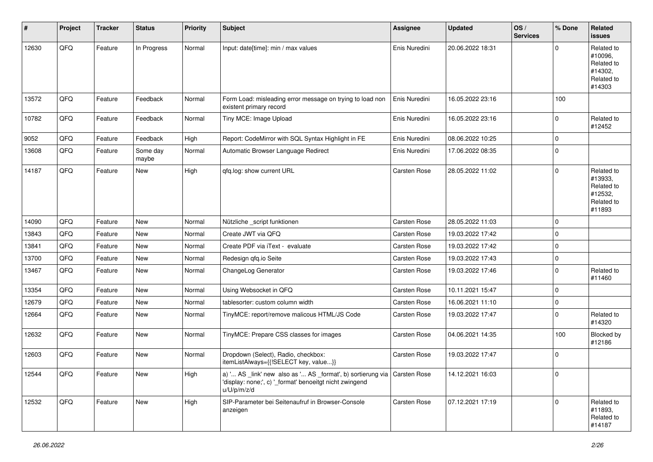| #     | Project | <b>Tracker</b> | <b>Status</b>     | <b>Priority</b> | <b>Subject</b>                                                                                                                                       | <b>Assignee</b>     | <b>Updated</b>   | OS/<br><b>Services</b> | % Done         | Related<br>issues                                                      |
|-------|---------|----------------|-------------------|-----------------|------------------------------------------------------------------------------------------------------------------------------------------------------|---------------------|------------------|------------------------|----------------|------------------------------------------------------------------------|
| 12630 | QFQ     | Feature        | In Progress       | Normal          | Input: date[time]: min / max values                                                                                                                  | Enis Nuredini       | 20.06.2022 18:31 |                        | $\Omega$       | Related to<br>#10096,<br>Related to<br>#14302,<br>Related to<br>#14303 |
| 13572 | QFQ     | Feature        | Feedback          | Normal          | Form Load: misleading error message on trying to load non<br>existent primary record                                                                 | Enis Nuredini       | 16.05.2022 23:16 |                        | 100            |                                                                        |
| 10782 | QFQ     | Feature        | Feedback          | Normal          | Tiny MCE: Image Upload                                                                                                                               | Enis Nuredini       | 16.05.2022 23:16 |                        | $\mathbf 0$    | Related to<br>#12452                                                   |
| 9052  | QFQ     | Feature        | Feedback          | High            | Report: CodeMirror with SQL Syntax Highlight in FE                                                                                                   | Enis Nuredini       | 08.06.2022 10:25 |                        | $\mathbf 0$    |                                                                        |
| 13608 | QFQ     | Feature        | Some day<br>maybe | Normal          | Automatic Browser Language Redirect                                                                                                                  | Enis Nuredini       | 17.06.2022 08:35 |                        | $\mathbf 0$    |                                                                        |
| 14187 | QFQ     | Feature        | New               | High            | qfq.log: show current URL                                                                                                                            | Carsten Rose        | 28.05.2022 11:02 |                        | $\mathbf 0$    | Related to<br>#13933,<br>Related to<br>#12532,<br>Related to<br>#11893 |
| 14090 | QFQ     | Feature        | <b>New</b>        | Normal          | Nützliche _script funktionen                                                                                                                         | Carsten Rose        | 28.05.2022 11:03 |                        | $\mathbf 0$    |                                                                        |
| 13843 | QFQ     | Feature        | New               | Normal          | Create JWT via QFQ                                                                                                                                   | Carsten Rose        | 19.03.2022 17:42 |                        | $\mathbf 0$    |                                                                        |
| 13841 | QFQ     | Feature        | New               | Normal          | Create PDF via iText - evaluate                                                                                                                      | Carsten Rose        | 19.03.2022 17:42 |                        | $\pmb{0}$      |                                                                        |
| 13700 | QFQ     | Feature        | New               | Normal          | Redesign qfq.io Seite                                                                                                                                | Carsten Rose        | 19.03.2022 17:43 |                        | $\mathbf 0$    |                                                                        |
| 13467 | QFQ     | Feature        | New               | Normal          | ChangeLog Generator                                                                                                                                  | Carsten Rose        | 19.03.2022 17:46 |                        | $\mathbf 0$    | Related to<br>#11460                                                   |
| 13354 | QFQ     | Feature        | <b>New</b>        | Normal          | Using Websocket in QFQ                                                                                                                               | Carsten Rose        | 10.11.2021 15:47 |                        | $\mathbf 0$    |                                                                        |
| 12679 | QFQ     | Feature        | New               | Normal          | tablesorter: custom column width                                                                                                                     | <b>Carsten Rose</b> | 16.06.2021 11:10 |                        | 0              |                                                                        |
| 12664 | QFQ     | Feature        | New               | Normal          | TinyMCE: report/remove malicous HTML/JS Code                                                                                                         | Carsten Rose        | 19.03.2022 17:47 |                        | $\mathbf 0$    | Related to<br>#14320                                                   |
| 12632 | QFQ     | Feature        | New               | Normal          | TinyMCE: Prepare CSS classes for images                                                                                                              | Carsten Rose        | 04.06.2021 14:35 |                        | 100            | Blocked by<br>#12186                                                   |
| 12603 | QFQ     | Feature        | New               | Normal          | Dropdown (Select), Radio, checkbox:<br>itemListAlways={{!SELECT key, value}}                                                                         | Carsten Rose        | 19.03.2022 17:47 |                        | 0              |                                                                        |
| 12544 | QFQ     | Feature        | New               | High            | a) ' AS _link' new also as ' AS _format', b) sortierung via   Carsten Rose<br>'display: none;', c) '_format' benoeitgt nicht zwingend<br>u/U/p/m/z/d |                     | 14.12.2021 16:03 |                        | 0              |                                                                        |
| 12532 | QFQ     | Feature        | New               | High            | SIP-Parameter bei Seitenaufruf in Browser-Console<br>anzeigen                                                                                        | Carsten Rose        | 07.12.2021 17:19 |                        | $\overline{0}$ | Related to<br>#11893,<br>Related to<br>#14187                          |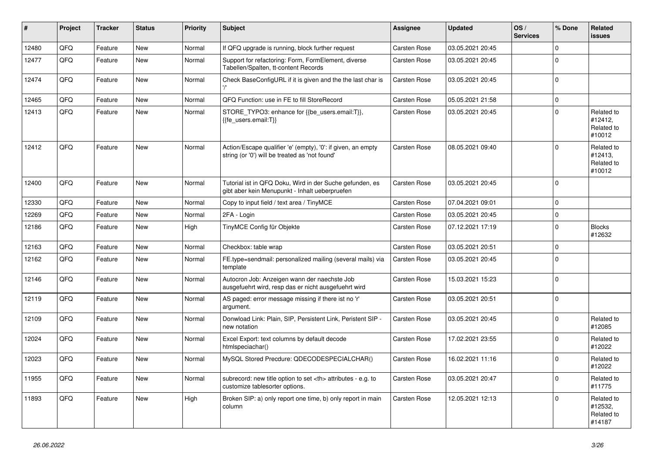| #     | Project | <b>Tracker</b> | <b>Status</b> | <b>Priority</b> | <b>Subject</b>                                                                                                 | Assignee                                               | <b>Updated</b>   | OS/<br><b>Services</b> | % Done       | Related<br><b>issues</b>                      |                      |
|-------|---------|----------------|---------------|-----------------|----------------------------------------------------------------------------------------------------------------|--------------------------------------------------------|------------------|------------------------|--------------|-----------------------------------------------|----------------------|
| 12480 | QFQ     | Feature        | <b>New</b>    | Normal          | If QFQ upgrade is running, block further request                                                               | <b>Carsten Rose</b>                                    | 03.05.2021 20:45 |                        | $\mathbf 0$  |                                               |                      |
| 12477 | QFQ     | Feature        | <b>New</b>    | Normal          | Support for refactoring: Form, FormElement, diverse<br>Tabellen/Spalten, tt-content Records                    | Carsten Rose                                           | 03.05.2021 20:45 |                        | $\mathbf 0$  |                                               |                      |
| 12474 | QFQ     | Feature        | <b>New</b>    | Normal          | Check BaseConfigURL if it is given and the the last char is                                                    | Carsten Rose                                           | 03.05.2021 20:45 |                        | $\mathbf 0$  |                                               |                      |
| 12465 | QFQ     | Feature        | <b>New</b>    | Normal          | QFQ Function: use in FE to fill StoreRecord                                                                    | Carsten Rose                                           | 05.05.2021 21:58 |                        | $\mathbf 0$  |                                               |                      |
| 12413 | QFQ     | Feature        | New           | Normal          | STORE_TYPO3: enhance for {{be_users.email:T}},<br>{{fe users.email:T}}                                         | Carsten Rose                                           | 03.05.2021 20:45 |                        | $\mathbf{0}$ | Related to<br>#12412,<br>Related to<br>#10012 |                      |
| 12412 | QFQ     | Feature        | New           | Normal          | Action/Escape qualifier 'e' (empty), '0': if given, an empty<br>string (or '0') will be treated as 'not found' | Carsten Rose                                           | 08.05.2021 09:40 |                        | $\Omega$     | Related to<br>#12413,<br>Related to<br>#10012 |                      |
| 12400 | QFQ     | Feature        | New           | Normal          | Tutorial ist in QFQ Doku, Wird in der Suche gefunden, es<br>gibt aber kein Menupunkt - Inhalt ueberpruefen     | Carsten Rose                                           | 03.05.2021 20:45 |                        | $\mathbf 0$  |                                               |                      |
| 12330 | QFQ     | Feature        | <b>New</b>    | Normal          | Copy to input field / text area / TinyMCE                                                                      | Carsten Rose                                           | 07.04.2021 09:01 |                        | $\mathbf 0$  |                                               |                      |
| 12269 | QFQ     | Feature        | <b>New</b>    | Normal          | 2FA - Login                                                                                                    | Carsten Rose                                           | 03.05.2021 20:45 |                        | $\mathbf 0$  |                                               |                      |
| 12186 | QFQ     | Feature        | <b>New</b>    | High            | TinyMCE Config für Objekte                                                                                     | <b>Carsten Rose</b>                                    | 07.12.2021 17:19 |                        | $\Omega$     | <b>Blocks</b><br>#12632                       |                      |
| 12163 | QFQ     | Feature        | <b>New</b>    | Normal          | Checkbox: table wrap                                                                                           | <b>Carsten Rose</b>                                    | 03.05.2021 20:51 |                        | $\mathbf 0$  |                                               |                      |
| 12162 | QFQ     | Feature        | <b>New</b>    | Normal          | FE.type=sendmail: personalized mailing (several mails) via<br>template                                         | Carsten Rose                                           | 03.05.2021 20:45 |                        | $\mathbf 0$  |                                               |                      |
| 12146 | QFQ     | Feature        | New           | Normal          | Autocron Job: Anzeigen wann der naechste Job<br>ausgefuehrt wird, resp das er nicht ausgefuehrt wird           | <b>Carsten Rose</b>                                    | 15.03.2021 15:23 |                        | $\mathbf 0$  |                                               |                      |
| 12119 | QFQ     | Feature        | <b>New</b>    | Normal          | AS paged: error message missing if there ist no 'r'<br>argument.                                               | Carsten Rose                                           | 03.05.2021 20:51 |                        | $\mathbf 0$  |                                               |                      |
| 12109 | QFQ     | Feature        | <b>New</b>    | Normal          | Donwload Link: Plain, SIP, Persistent Link, Peristent SIP -<br>new notation                                    | Carsten Rose                                           | 03.05.2021 20:45 |                        | $\Omega$     | Related to<br>#12085                          |                      |
| 12024 | QFQ     | Feature        | New           | Normal          | Excel Export: text columns by default decode<br>htmlspeciachar()                                               | Carsten Rose                                           | 17.02.2021 23:55 |                        | $\mathbf 0$  | Related to<br>#12022                          |                      |
| 12023 | QFQ     | Feature        | <b>New</b>    | Normal          | MySQL Stored Precdure: QDECODESPECIALCHAR()                                                                    | Carsten Rose                                           | 16.02.2021 11:16 |                        | $\Omega$     | Related to<br>#12022                          |                      |
| 11955 | QFQ     | Feature        | <b>New</b>    | Normal          | subrecord: new title option to set <th> attributes - e.g. to<br/>customize tablesorter options.</th>           | attributes - e.g. to<br>customize tablesorter options. | Carsten Rose     | 03.05.2021 20:47       |              | $\mathbf 0$                                   | Related to<br>#11775 |
| 11893 | QFQ     | Feature        | <b>New</b>    | High            | Broken SIP: a) only report one time, b) only report in main<br>column                                          | Carsten Rose                                           | 12.05.2021 12:13 |                        | $\Omega$     | Related to<br>#12532,<br>Related to<br>#14187 |                      |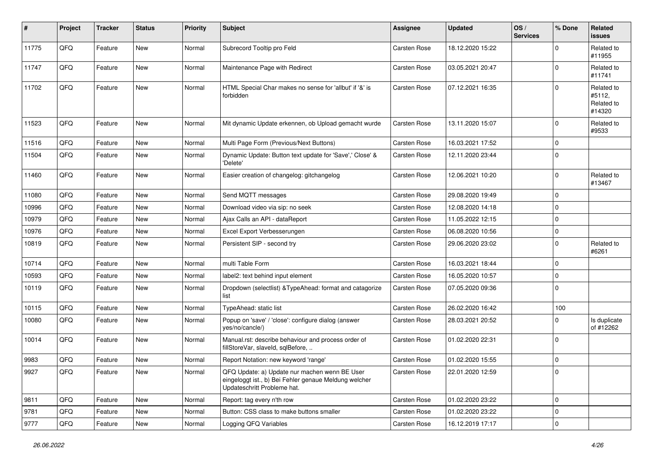| #     | Project | <b>Tracker</b> | <b>Status</b> | <b>Priority</b> | <b>Subject</b>                                                                                                                        | Assignee            | <b>Updated</b>   | OS/<br><b>Services</b> | % Done         | Related<br><b>issues</b>                     |
|-------|---------|----------------|---------------|-----------------|---------------------------------------------------------------------------------------------------------------------------------------|---------------------|------------------|------------------------|----------------|----------------------------------------------|
| 11775 | QFQ     | Feature        | New           | Normal          | Subrecord Tooltip pro Feld                                                                                                            | Carsten Rose        | 18.12.2020 15:22 |                        | $\mathbf 0$    | Related to<br>#11955                         |
| 11747 | QFQ     | Feature        | New           | Normal          | Maintenance Page with Redirect                                                                                                        | Carsten Rose        | 03.05.2021 20:47 |                        | $\mathbf 0$    | Related to<br>#11741                         |
| 11702 | QFQ     | Feature        | New           | Normal          | HTML Special Char makes no sense for 'allbut' if '&' is<br>forbidden                                                                  | Carsten Rose        | 07.12.2021 16:35 |                        | $\mathbf 0$    | Related to<br>#5112.<br>Related to<br>#14320 |
| 11523 | QFQ     | Feature        | New           | Normal          | Mit dynamic Update erkennen, ob Upload gemacht wurde                                                                                  | Carsten Rose        | 13.11.2020 15:07 |                        | $\mathbf 0$    | Related to<br>#9533                          |
| 11516 | QFQ     | Feature        | New           | Normal          | Multi Page Form (Previous/Next Buttons)                                                                                               | Carsten Rose        | 16.03.2021 17:52 |                        | $\mathbf 0$    |                                              |
| 11504 | QFQ     | Feature        | New           | Normal          | Dynamic Update: Button text update for 'Save',' Close' &<br>'Delete'                                                                  | Carsten Rose        | 12.11.2020 23:44 |                        | $\mathbf 0$    |                                              |
| 11460 | QFQ     | Feature        | New           | Normal          | Easier creation of changelog: gitchangelog                                                                                            | Carsten Rose        | 12.06.2021 10:20 |                        | $\mathbf 0$    | Related to<br>#13467                         |
| 11080 | QFQ     | Feature        | New           | Normal          | Send MQTT messages                                                                                                                    | Carsten Rose        | 29.08.2020 19:49 |                        | $\mathbf 0$    |                                              |
| 10996 | QFQ     | Feature        | New           | Normal          | Download video via sip: no seek                                                                                                       | Carsten Rose        | 12.08.2020 14:18 |                        | $\mathbf 0$    |                                              |
| 10979 | QFQ     | Feature        | New           | Normal          | Ajax Calls an API - dataReport                                                                                                        | Carsten Rose        | 11.05.2022 12:15 |                        | 0              |                                              |
| 10976 | QFQ     | Feature        | New           | Normal          | Excel Export Verbesserungen                                                                                                           | <b>Carsten Rose</b> | 06.08.2020 10:56 |                        | $\pmb{0}$      |                                              |
| 10819 | QFQ     | Feature        | New           | Normal          | Persistent SIP - second try                                                                                                           | Carsten Rose        | 29.06.2020 23:02 |                        | $\mathbf 0$    | Related to<br>#6261                          |
| 10714 | QFQ     | Feature        | New           | Normal          | multi Table Form                                                                                                                      | Carsten Rose        | 16.03.2021 18:44 |                        | $\mathbf 0$    |                                              |
| 10593 | QFQ     | Feature        | New           | Normal          | label2: text behind input element                                                                                                     | Carsten Rose        | 16.05.2020 10:57 |                        | $\mathbf 0$    |                                              |
| 10119 | QFQ     | Feature        | New           | Normal          | Dropdown (selectlist) & TypeAhead: format and catagorize<br>list                                                                      | Carsten Rose        | 07.05.2020 09:36 |                        | $\mathbf 0$    |                                              |
| 10115 | QFQ     | Feature        | New           | Normal          | TypeAhead: static list                                                                                                                | Carsten Rose        | 26.02.2020 16:42 |                        | 100            |                                              |
| 10080 | QFQ     | Feature        | New           | Normal          | Popup on 'save' / 'close': configure dialog (answer<br>yes/no/cancle/)                                                                | Carsten Rose        | 28.03.2021 20:52 |                        | $\mathbf 0$    | Is duplicate<br>of #12262                    |
| 10014 | QFQ     | Feature        | New           | Normal          | Manual.rst: describe behaviour and process order of<br>fillStoreVar, slaveId, sqlBefore,                                              | Carsten Rose        | 01.02.2020 22:31 |                        | $\mathbf 0$    |                                              |
| 9983  | QFQ     | Feature        | New           | Normal          | Report Notation: new keyword 'range'                                                                                                  | Carsten Rose        | 01.02.2020 15:55 |                        | $\mathbf 0$    |                                              |
| 9927  | QFQ     | Feature        | New           | Normal          | QFQ Update: a) Update nur machen wenn BE User<br>eingeloggt ist., b) Bei Fehler genaue Meldung welcher<br>Updateschritt Probleme hat. | Carsten Rose        | 22.01.2020 12:59 |                        | l 0            |                                              |
| 9811  | QFQ     | Feature        | New           | Normal          | Report: tag every n'th row                                                                                                            | Carsten Rose        | 01.02.2020 23:22 |                        | $\mathbf 0$    |                                              |
| 9781  | QFQ     | Feature        | New           | Normal          | Button: CSS class to make buttons smaller                                                                                             | Carsten Rose        | 01.02.2020 23:22 |                        | $\mathbf 0$    |                                              |
| 9777  | QFQ     | Feature        | New           | Normal          | Logging QFQ Variables                                                                                                                 | Carsten Rose        | 16.12.2019 17:17 |                        | $\overline{0}$ |                                              |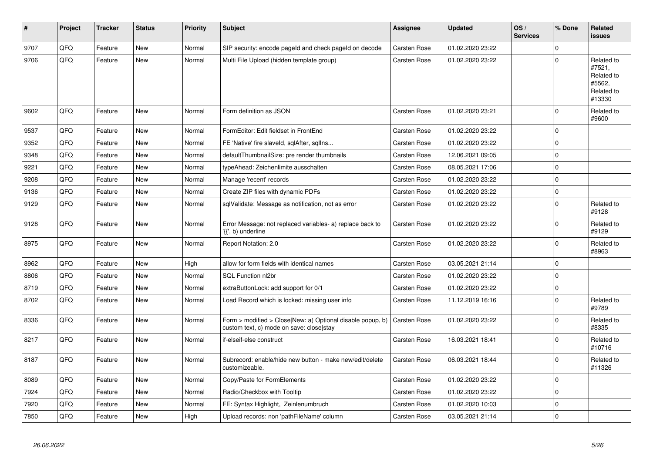| $\vert$ # | Project | <b>Tracker</b> | <b>Status</b> | <b>Priority</b> | <b>Subject</b>                                                                                         | Assignee            | <b>Updated</b>   | OS/<br><b>Services</b> | % Done      | Related<br><b>issues</b>                                             |
|-----------|---------|----------------|---------------|-----------------|--------------------------------------------------------------------------------------------------------|---------------------|------------------|------------------------|-------------|----------------------------------------------------------------------|
| 9707      | QFQ     | Feature        | <b>New</b>    | Normal          | SIP security: encode pageld and check pageld on decode                                                 | Carsten Rose        | 01.02.2020 23:22 |                        | $\Omega$    |                                                                      |
| 9706      | QFQ     | Feature        | <b>New</b>    | Normal          | Multi File Upload (hidden template group)                                                              | Carsten Rose        | 01.02.2020 23:22 |                        | $\Omega$    | Related to<br>#7521,<br>Related to<br>#5562,<br>Related to<br>#13330 |
| 9602      | QFQ     | Feature        | <b>New</b>    | Normal          | Form definition as JSON                                                                                | Carsten Rose        | 01.02.2020 23:21 |                        | $\Omega$    | Related to<br>#9600                                                  |
| 9537      | QFQ     | Feature        | <b>New</b>    | Normal          | FormEditor: Edit fieldset in FrontEnd                                                                  | Carsten Rose        | 01.02.2020 23:22 |                        | 0           |                                                                      |
| 9352      | QFQ     | Feature        | New           | Normal          | FE 'Native' fire slaveld, sqlAfter, sqllns                                                             | Carsten Rose        | 01.02.2020 23:22 |                        | $\Omega$    |                                                                      |
| 9348      | QFQ     | Feature        | <b>New</b>    | Normal          | defaultThumbnailSize: pre render thumbnails                                                            | Carsten Rose        | 12.06.2021 09:05 |                        | $\Omega$    |                                                                      |
| 9221      | QFQ     | Feature        | New           | Normal          | typeAhead: Zeichenlimite ausschalten                                                                   | Carsten Rose        | 08.05.2021 17:06 |                        | $\pmb{0}$   |                                                                      |
| 9208      | QFQ     | Feature        | New           | Normal          | Manage 'recent' records                                                                                | <b>Carsten Rose</b> | 01.02.2020 23:22 |                        | 0           |                                                                      |
| 9136      | QFQ     | Feature        | New           | Normal          | Create ZIP files with dynamic PDFs                                                                     | Carsten Rose        | 01.02.2020 23:22 |                        | $\Omega$    |                                                                      |
| 9129      | QFQ     | Feature        | New           | Normal          | sqlValidate: Message as notification, not as error                                                     | Carsten Rose        | 01.02.2020 23:22 |                        | $\Omega$    | Related to<br>#9128                                                  |
| 9128      | QFQ     | Feature        | New           | Normal          | Error Message: not replaced variables- a) replace back to<br>'{{', b) underline                        | Carsten Rose        | 01.02.2020 23:22 |                        | $\Omega$    | Related to<br>#9129                                                  |
| 8975      | QFQ     | Feature        | <b>New</b>    | Normal          | Report Notation: 2.0                                                                                   | Carsten Rose        | 01.02.2020 23:22 |                        | $\mathbf 0$ | Related to<br>#8963                                                  |
| 8962      | QFQ     | Feature        | <b>New</b>    | High            | allow for form fields with identical names                                                             | Carsten Rose        | 03.05.2021 21:14 |                        | $\Omega$    |                                                                      |
| 8806      | QFQ     | Feature        | New           | Normal          | SQL Function nl2br                                                                                     | <b>Carsten Rose</b> | 01.02.2020 23:22 |                        | $\pmb{0}$   |                                                                      |
| 8719      | QFQ     | Feature        | <b>New</b>    | Normal          | extraButtonLock: add support for 0/1                                                                   | Carsten Rose        | 01.02.2020 23:22 |                        | $\mathbf 0$ |                                                                      |
| 8702      | QFQ     | Feature        | New           | Normal          | Load Record which is locked: missing user info                                                         | Carsten Rose        | 11.12.2019 16:16 |                        | $\mathbf 0$ | Related to<br>#9789                                                  |
| 8336      | QFQ     | Feature        | New           | Normal          | Form > modified > Close New: a) Optional disable popup, b)<br>custom text, c) mode on save: close stay | Carsten Rose        | 01.02.2020 23:22 |                        | $\Omega$    | Related to<br>#8335                                                  |
| 8217      | QFQ     | Feature        | New           | Normal          | if-elseif-else construct                                                                               | Carsten Rose        | 16.03.2021 18:41 |                        | $\mathbf 0$ | Related to<br>#10716                                                 |
| 8187      | QFQ     | Feature        | New           | Normal          | Subrecord: enable/hide new button - make new/edit/delete<br>customizeable.                             | Carsten Rose        | 06.03.2021 18:44 |                        | $\mathbf 0$ | Related to<br>#11326                                                 |
| 8089      | QFQ     | Feature        | New           | Normal          | Copy/Paste for FormElements                                                                            | Carsten Rose        | 01.02.2020 23:22 |                        | $\Omega$    |                                                                      |
| 7924      | QFQ     | Feature        | <b>New</b>    | Normal          | Radio/Checkbox with Tooltip                                                                            | Carsten Rose        | 01.02.2020 23:22 |                        | $\Omega$    |                                                                      |
| 7920      | QFQ     | Feature        | New           | Normal          | FE: Syntax Highlight, Zeinlenumbruch                                                                   | Carsten Rose        | 01.02.2020 10:03 |                        | $\Omega$    |                                                                      |
| 7850      | QFQ     | Feature        | New           | High            | Upload records: non 'pathFileName' column                                                              | Carsten Rose        | 03.05.2021 21:14 |                        | $\pmb{0}$   |                                                                      |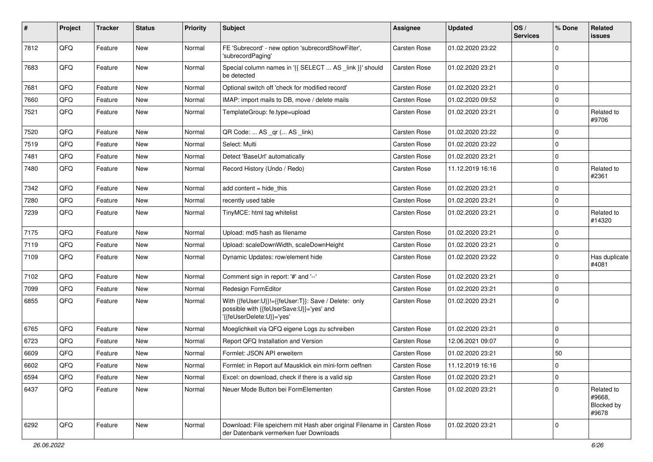| #    | Project | <b>Tracker</b> | <b>Status</b> | <b>Priority</b> | Subject                                                                                                                       | <b>Assignee</b>     | <b>Updated</b>   | OS/<br><b>Services</b> | % Done      | Related<br>issues                           |
|------|---------|----------------|---------------|-----------------|-------------------------------------------------------------------------------------------------------------------------------|---------------------|------------------|------------------------|-------------|---------------------------------------------|
| 7812 | QFQ     | Feature        | <b>New</b>    | Normal          | FE 'Subrecord' - new option 'subrecordShowFilter',<br>'subrecordPaging'                                                       | Carsten Rose        | 01.02.2020 23:22 |                        | $\mathbf 0$ |                                             |
| 7683 | QFQ     | Feature        | New           | Normal          | Special column names in '{{ SELECT  AS _link }}' should<br>be detected                                                        | Carsten Rose        | 01.02.2020 23:21 |                        | 0           |                                             |
| 7681 | QFQ     | Feature        | <b>New</b>    | Normal          | Optional switch off 'check for modified record'                                                                               | Carsten Rose        | 01.02.2020 23:21 |                        | $\mathbf 0$ |                                             |
| 7660 | QFQ     | Feature        | New           | Normal          | IMAP: import mails to DB, move / delete mails                                                                                 | Carsten Rose        | 01.02.2020 09:52 |                        | $\mathbf 0$ |                                             |
| 7521 | QFQ     | Feature        | New           | Normal          | TemplateGroup: fe.type=upload                                                                                                 | Carsten Rose        | 01.02.2020 23:21 |                        | 0           | Related to<br>#9706                         |
| 7520 | QFQ     | Feature        | New           | Normal          | QR Code:  AS _qr ( AS _link)                                                                                                  | Carsten Rose        | 01.02.2020 23:22 |                        | $\mathbf 0$ |                                             |
| 7519 | QFQ     | Feature        | New           | Normal          | Select: Multi                                                                                                                 | Carsten Rose        | 01.02.2020 23:22 |                        | $\mathbf 0$ |                                             |
| 7481 | QFQ     | Feature        | New           | Normal          | Detect 'BaseUrl' automatically                                                                                                | Carsten Rose        | 01.02.2020 23:21 |                        | 0           |                                             |
| 7480 | QFQ     | Feature        | New           | Normal          | Record History (Undo / Redo)                                                                                                  | Carsten Rose        | 11.12.2019 16:16 |                        | $\mathbf 0$ | Related to<br>#2361                         |
| 7342 | QFQ     | Feature        | New           | Normal          | add content $=$ hide this                                                                                                     | Carsten Rose        | 01.02.2020 23:21 |                        | $\mathbf 0$ |                                             |
| 7280 | QFQ     | Feature        | New           | Normal          | recently used table                                                                                                           | Carsten Rose        | 01.02.2020 23:21 |                        | $\mathbf 0$ |                                             |
| 7239 | QFQ     | Feature        | New           | Normal          | TinyMCE: html tag whitelist                                                                                                   | Carsten Rose        | 01.02.2020 23:21 |                        | $\mathbf 0$ | Related to<br>#14320                        |
| 7175 | QFQ     | Feature        | New           | Normal          | Upload: md5 hash as filename                                                                                                  | Carsten Rose        | 01.02.2020 23:21 |                        | $\Omega$    |                                             |
| 7119 | QFQ     | Feature        | New           | Normal          | Upload: scaleDownWidth, scaleDownHeight                                                                                       | Carsten Rose        | 01.02.2020 23:21 |                        | $\mathbf 0$ |                                             |
| 7109 | QFQ     | Feature        | <b>New</b>    | Normal          | Dynamic Updates: row/element hide                                                                                             | Carsten Rose        | 01.02.2020 23:22 |                        | $\Omega$    | Has duplicate<br>#4081                      |
| 7102 | QFQ     | Feature        | <b>New</b>    | Normal          | Comment sign in report: '#' and '--'                                                                                          | Carsten Rose        | 01.02.2020 23:21 |                        | $\mathbf 0$ |                                             |
| 7099 | QFQ     | Feature        | New           | Normal          | Redesign FormEditor                                                                                                           | Carsten Rose        | 01.02.2020 23:21 |                        | 0           |                                             |
| 6855 | QFQ     | Feature        | New           | Normal          | With {{feUser:U}}!={{feUser:T}}: Save / Delete: only<br>possible with {{feUserSave:U}}='yes' and<br>'{{feUserDelete:U}}='yes' | Carsten Rose        | 01.02.2020 23:21 |                        | $\mathbf 0$ |                                             |
| 6765 | QFQ     | Feature        | New           | Normal          | Moeglichkeit via QFQ eigene Logs zu schreiben                                                                                 | Carsten Rose        | 01.02.2020 23:21 |                        | $\Omega$    |                                             |
| 6723 | QFQ     | Feature        | <b>New</b>    | Normal          | Report QFQ Installation and Version                                                                                           | Carsten Rose        | 12.06.2021 09:07 |                        | 0           |                                             |
| 6609 | QFQ     | Feature        | New           | Normal          | Formlet: JSON API erweitern                                                                                                   | Carsten Rose        | 01.02.2020 23:21 |                        | 50          |                                             |
| 6602 | QFQ     | Feature        | New           | Normal          | Formlet: in Report auf Mausklick ein mini-form oeffnen                                                                        | <b>Carsten Rose</b> | 11.12.2019 16:16 |                        | $\mathbf 0$ |                                             |
| 6594 | QFO     | Feature        | New           | Normal          | Excel: on download, check if there is a valid sip                                                                             | Carsten Rose        | 01.02.2020 23:21 |                        | 0           |                                             |
| 6437 | QFQ     | Feature        | New           | Normal          | Neuer Mode Button bei FormElementen                                                                                           | Carsten Rose        | 01.02.2020 23:21 |                        | 0           | Related to<br>#9668,<br>Blocked by<br>#9678 |
| 6292 | QFQ     | Feature        | New           | Normal          | Download: File speichern mit Hash aber original Filename in   Carsten Rose<br>der Datenbank vermerken fuer Downloads          |                     | 01.02.2020 23:21 |                        | 0           |                                             |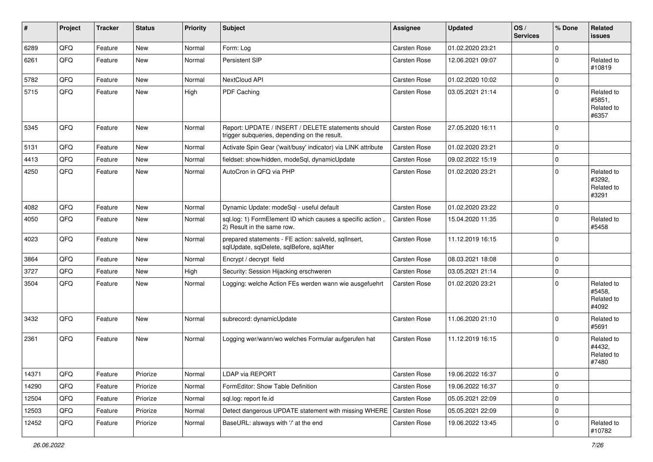| #     | Project | <b>Tracker</b> | <b>Status</b> | <b>Priority</b> | <b>Subject</b>                                                                                     | <b>Assignee</b> | <b>Updated</b>   | OS/<br><b>Services</b> | % Done      | Related<br>issues                           |
|-------|---------|----------------|---------------|-----------------|----------------------------------------------------------------------------------------------------|-----------------|------------------|------------------------|-------------|---------------------------------------------|
| 6289  | QFQ     | Feature        | <b>New</b>    | Normal          | Form: Log                                                                                          | Carsten Rose    | 01.02.2020 23:21 |                        | $\mathbf 0$ |                                             |
| 6261  | QFQ     | Feature        | New           | Normal          | Persistent SIP                                                                                     | Carsten Rose    | 12.06.2021 09:07 |                        | $\mathbf 0$ | Related to<br>#10819                        |
| 5782  | QFQ     | Feature        | <b>New</b>    | Normal          | NextCloud API                                                                                      | Carsten Rose    | 01.02.2020 10:02 |                        | 0           |                                             |
| 5715  | QFQ     | Feature        | <b>New</b>    | High            | PDF Caching                                                                                        | Carsten Rose    | 03.05.2021 21:14 |                        | $\mathbf 0$ | Related to<br>#5851,<br>Related to<br>#6357 |
| 5345  | QFQ     | Feature        | New           | Normal          | Report: UPDATE / INSERT / DELETE statements should<br>trigger subqueries, depending on the result. | Carsten Rose    | 27.05.2020 16:11 |                        | $\Omega$    |                                             |
| 5131  | QFQ     | Feature        | <b>New</b>    | Normal          | Activate Spin Gear ('wait/busy' indicator) via LINK attribute                                      | Carsten Rose    | 01.02.2020 23:21 |                        | 0           |                                             |
| 4413  | QFQ     | Feature        | <b>New</b>    | Normal          | fieldset: show/hidden, modeSql, dynamicUpdate                                                      | Carsten Rose    | 09.02.2022 15:19 |                        | $\mathbf 0$ |                                             |
| 4250  | QFQ     | Feature        | New           | Normal          | AutoCron in QFQ via PHP                                                                            | Carsten Rose    | 01.02.2020 23:21 |                        | $\Omega$    | Related to<br>#3292,<br>Related to<br>#3291 |
| 4082  | QFQ     | Feature        | New           | Normal          | Dynamic Update: modeSql - useful default                                                           | Carsten Rose    | 01.02.2020 23:22 |                        | $\mathbf 0$ |                                             |
| 4050  | QFQ     | Feature        | <b>New</b>    | Normal          | sql.log: 1) FormElement ID which causes a specific action,<br>2) Result in the same row.           | Carsten Rose    | 15.04.2020 11:35 |                        | $\Omega$    | Related to<br>#5458                         |
| 4023  | QFQ     | Feature        | <b>New</b>    | Normal          | prepared statements - FE action: salveld, sqllnsert,<br>sqlUpdate, sqlDelete, sqlBefore, sqlAfter  | Carsten Rose    | 11.12.2019 16:15 |                        | $\Omega$    |                                             |
| 3864  | QFQ     | Feature        | <b>New</b>    | Normal          | Encrypt / decrypt field                                                                            | Carsten Rose    | 08.03.2021 18:08 |                        | 0           |                                             |
| 3727  | QFQ     | Feature        | New           | High            | Security: Session Hijacking erschweren                                                             | Carsten Rose    | 03.05.2021 21:14 |                        | $\mathbf 0$ |                                             |
| 3504  | QFQ     | Feature        | New           | Normal          | Logging: welche Action FEs werden wann wie ausgefuehrt                                             | Carsten Rose    | 01.02.2020 23:21 |                        | $\Omega$    | Related to<br>#5458,<br>Related to<br>#4092 |
| 3432  | QFQ     | Feature        | New           | Normal          | subrecord: dynamicUpdate                                                                           | Carsten Rose    | 11.06.2020 21:10 |                        | $\Omega$    | Related to<br>#5691                         |
| 2361  | QFQ     | Feature        | <b>New</b>    | Normal          | Logging wer/wann/wo welches Formular aufgerufen hat                                                | Carsten Rose    | 11.12.2019 16:15 |                        | $\Omega$    | Related to<br>#4432,<br>Related to<br>#7480 |
| 14371 | QFQ     | Feature        | Priorize      | Normal          | LDAP via REPORT                                                                                    | Carsten Rose    | 19.06.2022 16:37 |                        | $\pmb{0}$   |                                             |
| 14290 | QFQ     | Feature        | Priorize      | Normal          | FormEditor: Show Table Definition                                                                  | Carsten Rose    | 19.06.2022 16:37 |                        | 0           |                                             |
| 12504 | QFQ     | Feature        | Priorize      | Normal          | sql.log: report fe.id                                                                              | Carsten Rose    | 05.05.2021 22:09 |                        | 0           |                                             |
| 12503 | QFQ     | Feature        | Priorize      | Normal          | Detect dangerous UPDATE statement with missing WHERE                                               | Carsten Rose    | 05.05.2021 22:09 |                        | 0           |                                             |
| 12452 | QFQ     | Feature        | Priorize      | Normal          | BaseURL: alsways with '/' at the end                                                               | Carsten Rose    | 19.06.2022 13:45 |                        | 0           | Related to<br>#10782                        |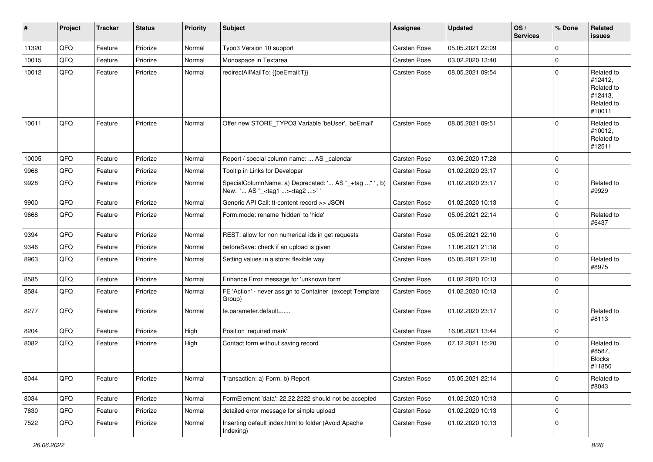| #     | Project | <b>Tracker</b> | <b>Status</b> | <b>Priority</b> | Subject                                                                                            | <b>Assignee</b>     | <b>Updated</b>   | OS/<br><b>Services</b> | % Done      | Related<br>issues                                                      |
|-------|---------|----------------|---------------|-----------------|----------------------------------------------------------------------------------------------------|---------------------|------------------|------------------------|-------------|------------------------------------------------------------------------|
| 11320 | QFQ     | Feature        | Priorize      | Normal          | Typo3 Version 10 support                                                                           | Carsten Rose        | 05.05.2021 22:09 |                        | $\Omega$    |                                                                        |
| 10015 | QFQ     | Feature        | Priorize      | Normal          | Monospace in Textarea                                                                              | Carsten Rose        | 03.02.2020 13:40 |                        | $\mathbf 0$ |                                                                        |
| 10012 | QFQ     | Feature        | Priorize      | Normal          | redirectAllMailTo: {{beEmail:T}}                                                                   | Carsten Rose        | 08.05.2021 09:54 |                        | $\Omega$    | Related to<br>#12412,<br>Related to<br>#12413,<br>Related to<br>#10011 |
| 10011 | QFQ     | Feature        | Priorize      | Normal          | Offer new STORE_TYPO3 Variable 'beUser', 'beEmail'                                                 | <b>Carsten Rose</b> | 08.05.2021 09:51 |                        | $\Omega$    | Related to<br>#10012,<br>Related to<br>#12511                          |
| 10005 | QFQ     | Feature        | Priorize      | Normal          | Report / special column name:  AS _calendar                                                        | Carsten Rose        | 03.06.2020 17:28 |                        | 0           |                                                                        |
| 9968  | QFQ     | Feature        | Priorize      | Normal          | Tooltip in Links for Developer                                                                     | Carsten Rose        | 01.02.2020 23:17 |                        | $\mathbf 0$ |                                                                        |
| 9928  | QFQ     | Feature        | Priorize      | Normal          | SpecialColumnName: a) Deprecated: ' AS "_+tag " ', b)<br>New: ' AS "_ <tag1><tag2>"'</tag2></tag1> | Carsten Rose        | 01.02.2020 23:17 |                        | $\mathbf 0$ | Related to<br>#9929                                                    |
| 9900  | QFQ     | Feature        | Priorize      | Normal          | Generic API Call: tt-content record >> JSON                                                        | Carsten Rose        | 01.02.2020 10:13 |                        | $\mathbf 0$ |                                                                        |
| 9668  | QFQ     | Feature        | Priorize      | Normal          | Form.mode: rename 'hidden' to 'hide'                                                               | Carsten Rose        | 05.05.2021 22:14 |                        | $\Omega$    | Related to<br>#6437                                                    |
| 9394  | QFQ     | Feature        | Priorize      | Normal          | REST: allow for non numerical ids in get requests                                                  | Carsten Rose        | 05.05.2021 22:10 |                        | $\mathbf 0$ |                                                                        |
| 9346  | QFQ     | Feature        | Priorize      | Normal          | beforeSave: check if an upload is given                                                            | Carsten Rose        | 11.06.2021 21:18 |                        | $\mathbf 0$ |                                                                        |
| 8963  | QFQ     | Feature        | Priorize      | Normal          | Setting values in a store: flexible way                                                            | Carsten Rose        | 05.05.2021 22:10 |                        | $\Omega$    | Related to<br>#8975                                                    |
| 8585  | QFQ     | Feature        | Priorize      | Normal          | Enhance Error message for 'unknown form'                                                           | <b>Carsten Rose</b> | 01.02.2020 10:13 |                        | $\mathbf 0$ |                                                                        |
| 8584  | QFQ     | Feature        | Priorize      | Normal          | FE 'Action' - never assign to Container (except Template<br>Group)                                 | Carsten Rose        | 01.02.2020 10:13 |                        | $\Omega$    |                                                                        |
| 8277  | QFQ     | Feature        | Priorize      | Normal          | fe.parameter.default=                                                                              | Carsten Rose        | 01.02.2020 23:17 |                        | $\mathbf 0$ | Related to<br>#8113                                                    |
| 8204  | QFQ     | Feature        | Priorize      | High            | Position 'required mark'                                                                           | Carsten Rose        | 16.06.2021 13:44 |                        | $\mathbf 0$ |                                                                        |
| 8082  | QFQ     | Feature        | Priorize      | High            | Contact form without saving record                                                                 | Carsten Rose        | 07.12.2021 15:20 |                        | $\Omega$    | Related to<br>#8587,<br><b>Blocks</b><br>#11850                        |
| 8044  | QFQ     | Feature        | Priorize      | Normal          | Transaction: a) Form, b) Report                                                                    | Carsten Rose        | 05.05.2021 22:14 |                        | $\mathbf 0$ | Related to<br>#8043                                                    |
| 8034  | QFQ     | Feature        | Priorize      | Normal          | FormElement 'data': 22.22.2222 should not be accepted                                              | Carsten Rose        | 01.02.2020 10:13 |                        | $\mathbf 0$ |                                                                        |
| 7630  | QFQ     | Feature        | Priorize      | Normal          | detailed error message for simple upload                                                           | Carsten Rose        | 01.02.2020 10:13 |                        | 0           |                                                                        |
| 7522  | QFQ     | Feature        | Priorize      | Normal          | Inserting default index.html to folder (Avoid Apache<br>Indexing)                                  | Carsten Rose        | 01.02.2020 10:13 |                        | 0           |                                                                        |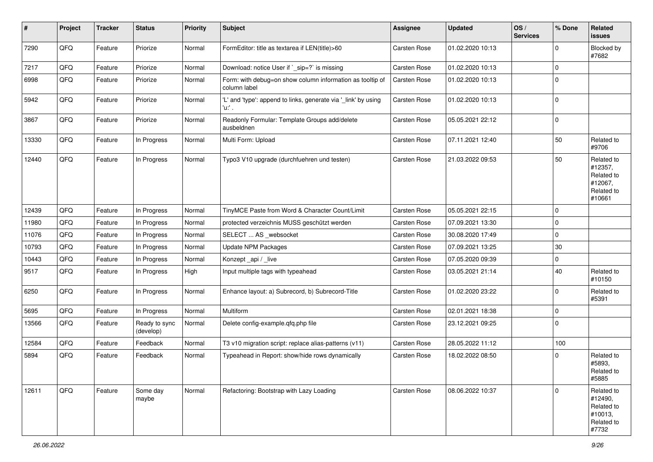| #     | Project | <b>Tracker</b> | <b>Status</b>              | <b>Priority</b> | <b>Subject</b>                                                            | Assignee            | <b>Updated</b>   | OS/<br><b>Services</b> | % Done      | Related<br><b>issues</b>                                               |
|-------|---------|----------------|----------------------------|-----------------|---------------------------------------------------------------------------|---------------------|------------------|------------------------|-------------|------------------------------------------------------------------------|
| 7290  | QFQ     | Feature        | Priorize                   | Normal          | FormEditor: title as textarea if LEN(title)>60                            | Carsten Rose        | 01.02.2020 10:13 |                        | $\mathbf 0$ | Blocked by<br>#7682                                                    |
| 7217  | QFQ     | Feature        | Priorize                   | Normal          | Download: notice User if `_sip=?` is missing                              | Carsten Rose        | 01.02.2020 10:13 |                        | $\mathbf 0$ |                                                                        |
| 6998  | QFQ     | Feature        | Priorize                   | Normal          | Form: with debug=on show column information as tooltip of<br>column label | Carsten Rose        | 01.02.2020 10:13 |                        | $\mathbf 0$ |                                                                        |
| 5942  | QFO     | Feature        | Priorize                   | Normal          | 'L' and 'type': append to links, generate via '_link' by using<br>$'u$ .  | Carsten Rose        | 01.02.2020 10:13 |                        | $\mathbf 0$ |                                                                        |
| 3867  | QFQ     | Feature        | Priorize                   | Normal          | Readonly Formular: Template Groups add/delete<br>ausbeldnen               | Carsten Rose        | 05.05.2021 22:12 |                        | $\mathbf 0$ |                                                                        |
| 13330 | QFQ     | Feature        | In Progress                | Normal          | Multi Form: Upload                                                        | Carsten Rose        | 07.11.2021 12:40 |                        | 50          | Related to<br>#9706                                                    |
| 12440 | QFQ     | Feature        | In Progress                | Normal          | Typo3 V10 upgrade (durchfuehren und testen)                               | Carsten Rose        | 21.03.2022 09:53 |                        | 50          | Related to<br>#12357,<br>Related to<br>#12067,<br>Related to<br>#10661 |
| 12439 | QFQ     | Feature        | In Progress                | Normal          | TinyMCE Paste from Word & Character Count/Limit                           | Carsten Rose        | 05.05.2021 22:15 |                        | $\mathbf 0$ |                                                                        |
| 11980 | QFQ     | Feature        | In Progress                | Normal          | protected verzeichnis MUSS geschützt werden                               | Carsten Rose        | 07.09.2021 13:30 |                        | $\mathbf 0$ |                                                                        |
| 11076 | QFQ     | Feature        | In Progress                | Normal          | SELECT  AS _websocket                                                     | Carsten Rose        | 30.08.2020 17:49 |                        | $\mathbf 0$ |                                                                        |
| 10793 | QFQ     | Feature        | In Progress                | Normal          | <b>Update NPM Packages</b>                                                | Carsten Rose        | 07.09.2021 13:25 |                        | 30          |                                                                        |
| 10443 | QFQ     | Feature        | In Progress                | Normal          | Konzept_api / _live                                                       | <b>Carsten Rose</b> | 07.05.2020 09:39 |                        | $\mathbf 0$ |                                                                        |
| 9517  | QFQ     | Feature        | In Progress                | High            | Input multiple tags with typeahead                                        | Carsten Rose        | 03.05.2021 21:14 |                        | 40          | Related to<br>#10150                                                   |
| 6250  | QFQ     | Feature        | In Progress                | Normal          | Enhance layout: a) Subrecord, b) Subrecord-Title                          | Carsten Rose        | 01.02.2020 23:22 |                        | $\mathbf 0$ | Related to<br>#5391                                                    |
| 5695  | QFQ     | Feature        | In Progress                | Normal          | Multiform                                                                 | Carsten Rose        | 02.01.2021 18:38 |                        | 0           |                                                                        |
| 13566 | QFQ     | Feature        | Ready to sync<br>(develop) | Normal          | Delete config-example.qfq.php file                                        | Carsten Rose        | 23.12.2021 09:25 |                        | $\mathbf 0$ |                                                                        |
| 12584 | QFQ     | Feature        | Feedback                   | Normal          | T3 v10 migration script: replace alias-patterns (v11)                     | Carsten Rose        | 28.05.2022 11:12 |                        | 100         |                                                                        |
| 5894  | QFQ     | Feature        | Feedback                   | Normal          | Typeahead in Report: show/hide rows dynamically                           | Carsten Rose        | 18.02.2022 08:50 |                        | $\mathbf 0$ | Related to<br>#5893,<br>Related to<br>#5885                            |
| 12611 | QFQ     | Feature        | Some day<br>maybe          | Normal          | Refactoring: Bootstrap with Lazy Loading                                  | Carsten Rose        | 08.06.2022 10:37 |                        | $\Omega$    | Related to<br>#12490,<br>Related to<br>#10013,<br>Related to<br>#7732  |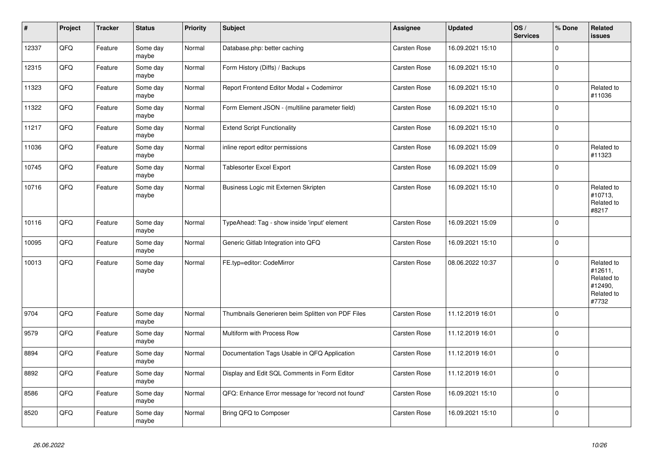| #     | Project | <b>Tracker</b> | <b>Status</b>     | <b>Priority</b> | <b>Subject</b>                                    | <b>Assignee</b>     | <b>Updated</b>   | OS/<br><b>Services</b> | % Done      | Related<br><b>issues</b>                                              |
|-------|---------|----------------|-------------------|-----------------|---------------------------------------------------|---------------------|------------------|------------------------|-------------|-----------------------------------------------------------------------|
| 12337 | QFQ     | Feature        | Some day<br>maybe | Normal          | Database.php: better caching                      | Carsten Rose        | 16.09.2021 15:10 |                        | $\Omega$    |                                                                       |
| 12315 | QFQ     | Feature        | Some day<br>maybe | Normal          | Form History (Diffs) / Backups                    | Carsten Rose        | 16.09.2021 15:10 |                        | $\mathbf 0$ |                                                                       |
| 11323 | QFQ     | Feature        | Some day<br>maybe | Normal          | Report Frontend Editor Modal + Codemirror         | Carsten Rose        | 16.09.2021 15:10 |                        | $\Omega$    | Related to<br>#11036                                                  |
| 11322 | QFQ     | Feature        | Some day<br>maybe | Normal          | Form Element JSON - (multiline parameter field)   | Carsten Rose        | 16.09.2021 15:10 |                        | $\Omega$    |                                                                       |
| 11217 | QFQ     | Feature        | Some day<br>maybe | Normal          | <b>Extend Script Functionality</b>                | Carsten Rose        | 16.09.2021 15:10 |                        | $\Omega$    |                                                                       |
| 11036 | QFQ     | Feature        | Some day<br>maybe | Normal          | inline report editor permissions                  | Carsten Rose        | 16.09.2021 15:09 |                        | $\Omega$    | Related to<br>#11323                                                  |
| 10745 | QFQ     | Feature        | Some day<br>maybe | Normal          | <b>Tablesorter Excel Export</b>                   | Carsten Rose        | 16.09.2021 15:09 |                        | $\mathbf 0$ |                                                                       |
| 10716 | QFQ     | Feature        | Some day<br>maybe | Normal          | Business Logic mit Externen Skripten              | Carsten Rose        | 16.09.2021 15:10 |                        | $\Omega$    | Related to<br>#10713,<br>Related to<br>#8217                          |
| 10116 | QFQ     | Feature        | Some day<br>maybe | Normal          | TypeAhead: Tag - show inside 'input' element      | Carsten Rose        | 16.09.2021 15:09 |                        | $\Omega$    |                                                                       |
| 10095 | QFQ     | Feature        | Some day<br>maybe | Normal          | Generic Gitlab Integration into QFQ               | Carsten Rose        | 16.09.2021 15:10 |                        | $\Omega$    |                                                                       |
| 10013 | QFQ     | Feature        | Some day<br>maybe | Normal          | FE.typ=editor: CodeMirror                         | Carsten Rose        | 08.06.2022 10:37 |                        | $\Omega$    | Related to<br>#12611,<br>Related to<br>#12490,<br>Related to<br>#7732 |
| 9704  | QFQ     | Feature        | Some day<br>maybe | Normal          | Thumbnails Generieren beim Splitten von PDF Files | Carsten Rose        | 11.12.2019 16:01 |                        | $\mathbf 0$ |                                                                       |
| 9579  | QFQ     | Feature        | Some day<br>maybe | Normal          | Multiform with Process Row                        | Carsten Rose        | 11.12.2019 16:01 |                        | $\Omega$    |                                                                       |
| 8894  | QFQ     | Feature        | Some day<br>maybe | Normal          | Documentation Tags Usable in QFQ Application      | <b>Carsten Rose</b> | 11.12.2019 16:01 |                        | $\mathbf 0$ |                                                                       |
| 8892  | QFQ     | Feature        | Some day<br>maybe | Normal          | Display and Edit SQL Comments in Form Editor      | Carsten Rose        | 11.12.2019 16:01 |                        | $\Omega$    |                                                                       |
| 8586  | QFQ     | Feature        | Some day<br>maybe | Normal          | QFQ: Enhance Error message for 'record not found' | Carsten Rose        | 16.09.2021 15:10 |                        | $\Omega$    |                                                                       |
| 8520  | QFQ     | Feature        | Some day<br>maybe | Normal          | Bring QFQ to Composer                             | Carsten Rose        | 16.09.2021 15:10 |                        | $\mathbf 0$ |                                                                       |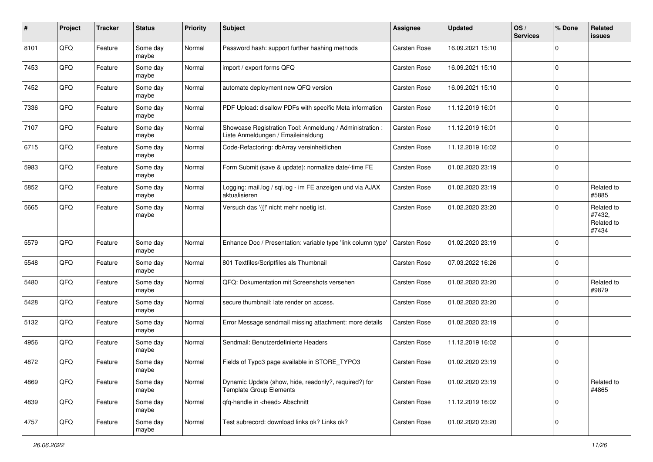| #    | Project | <b>Tracker</b> | <b>Status</b>     | <b>Priority</b> | <b>Subject</b>                                                                                 | <b>Assignee</b>     | <b>Updated</b>   | OS/<br><b>Services</b> | % Done      | Related<br>issues                           |
|------|---------|----------------|-------------------|-----------------|------------------------------------------------------------------------------------------------|---------------------|------------------|------------------------|-------------|---------------------------------------------|
| 8101 | QFQ     | Feature        | Some day<br>maybe | Normal          | Password hash: support further hashing methods                                                 | <b>Carsten Rose</b> | 16.09.2021 15:10 |                        | $\Omega$    |                                             |
| 7453 | QFQ     | Feature        | Some day<br>maybe | Normal          | import / export forms QFQ                                                                      | Carsten Rose        | 16.09.2021 15:10 |                        | $\Omega$    |                                             |
| 7452 | QFQ     | Feature        | Some day<br>maybe | Normal          | automate deployment new QFQ version                                                            | Carsten Rose        | 16.09.2021 15:10 |                        | $\Omega$    |                                             |
| 7336 | QFQ     | Feature        | Some day<br>maybe | Normal          | PDF Upload: disallow PDFs with specific Meta information                                       | Carsten Rose        | 11.12.2019 16:01 |                        | $\Omega$    |                                             |
| 7107 | QFQ     | Feature        | Some day<br>maybe | Normal          | Showcase Registration Tool: Anmeldung / Administration :<br>Liste Anmeldungen / Emaileinaldung | Carsten Rose        | 11.12.2019 16:01 |                        | $\Omega$    |                                             |
| 6715 | QFQ     | Feature        | Some day<br>maybe | Normal          | Code-Refactoring: dbArray vereinheitlichen                                                     | Carsten Rose        | 11.12.2019 16:02 |                        | $\Omega$    |                                             |
| 5983 | QFQ     | Feature        | Some day<br>maybe | Normal          | Form Submit (save & update): normalize date/-time FE                                           | Carsten Rose        | 01.02.2020 23:19 |                        | $\Omega$    |                                             |
| 5852 | QFQ     | Feature        | Some day<br>maybe | Normal          | Logging: mail.log / sgl.log - im FE anzeigen und via AJAX<br>aktualisieren                     | Carsten Rose        | 01.02.2020 23:19 |                        | $\Omega$    | Related to<br>#5885                         |
| 5665 | QFQ     | Feature        | Some day<br>maybe | Normal          | Versuch das '{{!' nicht mehr noetig ist.                                                       | Carsten Rose        | 01.02.2020 23:20 |                        | $\Omega$    | Related to<br>#7432,<br>Related to<br>#7434 |
| 5579 | QFQ     | Feature        | Some day<br>maybe | Normal          | Enhance Doc / Presentation: variable type 'link column type'                                   | Carsten Rose        | 01.02.2020 23:19 |                        | $\Omega$    |                                             |
| 5548 | QFQ     | Feature        | Some day<br>maybe | Normal          | 801 Textfiles/Scriptfiles als Thumbnail                                                        | Carsten Rose        | 07.03.2022 16:26 |                        | $\mathbf 0$ |                                             |
| 5480 | QFQ     | Feature        | Some day<br>maybe | Normal          | QFQ: Dokumentation mit Screenshots versehen                                                    | Carsten Rose        | 01.02.2020 23:20 |                        | $\Omega$    | Related to<br>#9879                         |
| 5428 | QFQ     | Feature        | Some day<br>maybe | Normal          | secure thumbnail: late render on access.                                                       | Carsten Rose        | 01.02.2020 23:20 |                        | $\Omega$    |                                             |
| 5132 | QFQ     | Feature        | Some day<br>maybe | Normal          | Error Message sendmail missing attachment: more details                                        | Carsten Rose        | 01.02.2020 23:19 |                        | $\Omega$    |                                             |
| 4956 | QFQ     | Feature        | Some day<br>maybe | Normal          | Sendmail: Benutzerdefinierte Headers                                                           | Carsten Rose        | 11.12.2019 16:02 |                        | $\Omega$    |                                             |
| 4872 | QFQ     | Feature        | Some day<br>maybe | Normal          | Fields of Typo3 page available in STORE TYPO3                                                  | Carsten Rose        | 01.02.2020 23:19 |                        | $\Omega$    |                                             |
| 4869 | QFG     | Feature        | Some day<br>maybe | Normal          | Dynamic Update (show, hide, readonly?, required?) for<br><b>Template Group Elements</b>        | Carsten Rose        | 01.02.2020 23:19 |                        | $\mathbf 0$ | Related to<br>#4865                         |
| 4839 | QFQ     | Feature        | Some day<br>maybe | Normal          | qfq-handle in <head> Abschnitt</head>                                                          | Carsten Rose        | 11.12.2019 16:02 |                        | $\mathbf 0$ |                                             |
| 4757 | QFQ     | Feature        | Some day<br>maybe | Normal          | Test subrecord: download links ok? Links ok?                                                   | Carsten Rose        | 01.02.2020 23:20 |                        | $\mathbf 0$ |                                             |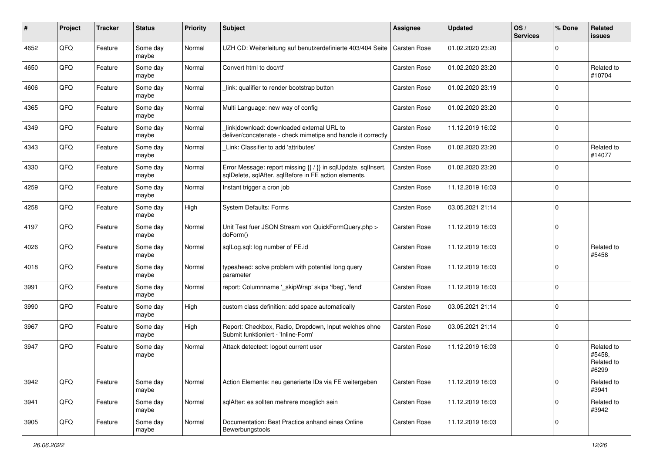| $\sharp$ | Project | <b>Tracker</b> | <b>Status</b>     | <b>Priority</b> | <b>Subject</b>                                                                                                          | <b>Assignee</b> | <b>Updated</b>   | OS/<br><b>Services</b> | % Done      | Related<br><b>issues</b>                    |
|----------|---------|----------------|-------------------|-----------------|-------------------------------------------------------------------------------------------------------------------------|-----------------|------------------|------------------------|-------------|---------------------------------------------|
| 4652     | QFQ     | Feature        | Some day<br>maybe | Normal          | UZH CD: Weiterleitung auf benutzerdefinierte 403/404 Seite                                                              | Carsten Rose    | 01.02.2020 23:20 |                        | $\Omega$    |                                             |
| 4650     | QFQ     | Feature        | Some day<br>maybe | Normal          | Convert html to doc/rtf                                                                                                 | Carsten Rose    | 01.02.2020 23:20 |                        | $\Omega$    | Related to<br>#10704                        |
| 4606     | QFQ     | Feature        | Some day<br>maybe | Normal          | link: qualifier to render bootstrap button                                                                              | Carsten Rose    | 01.02.2020 23:19 |                        | $\Omega$    |                                             |
| 4365     | QFQ     | Feature        | Some day<br>maybe | Normal          | Multi Language: new way of config                                                                                       | Carsten Rose    | 01.02.2020 23:20 |                        | $\Omega$    |                                             |
| 4349     | QFQ     | Feature        | Some day<br>maybe | Normal          | link download: downloaded external URL to<br>deliver/concatenate - check mimetipe and handle it correctly               | Carsten Rose    | 11.12.2019 16:02 |                        | $\Omega$    |                                             |
| 4343     | QFQ     | Feature        | Some day<br>maybe | Normal          | Link: Classifier to add 'attributes'                                                                                    | Carsten Rose    | 01.02.2020 23:20 |                        | $\mathbf 0$ | Related to<br>#14077                        |
| 4330     | QFQ     | Feature        | Some day<br>maybe | Normal          | Error Message: report missing {{ / }} in sqlUpdate, sqlInsert,<br>sqlDelete, sqlAfter, sqlBefore in FE action elements. | Carsten Rose    | 01.02.2020 23:20 |                        | $\Omega$    |                                             |
| 4259     | QFQ     | Feature        | Some day<br>maybe | Normal          | Instant trigger a cron job                                                                                              | Carsten Rose    | 11.12.2019 16:03 |                        | $\Omega$    |                                             |
| 4258     | QFQ     | Feature        | Some day<br>maybe | High            | <b>System Defaults: Forms</b>                                                                                           | Carsten Rose    | 03.05.2021 21:14 |                        | $\mathbf 0$ |                                             |
| 4197     | QFQ     | Feature        | Some day<br>maybe | Normal          | Unit Test fuer JSON Stream von QuickFormQuery.php ><br>doForm()                                                         | Carsten Rose    | 11.12.2019 16:03 |                        | $\Omega$    |                                             |
| 4026     | QFQ     | Feature        | Some day<br>maybe | Normal          | sqlLog.sql: log number of FE.id                                                                                         | Carsten Rose    | 11.12.2019 16:03 |                        | $\mathbf 0$ | Related to<br>#5458                         |
| 4018     | QFQ     | Feature        | Some day<br>maybe | Normal          | typeahead: solve problem with potential long query<br>parameter                                                         | Carsten Rose    | 11.12.2019 16:03 |                        | $\Omega$    |                                             |
| 3991     | QFQ     | Feature        | Some day<br>maybe | Normal          | report: Columnname '_skipWrap' skips 'fbeg', 'fend'                                                                     | Carsten Rose    | 11.12.2019 16:03 |                        | $\mathbf 0$ |                                             |
| 3990     | QFQ     | Feature        | Some day<br>maybe | High            | custom class definition: add space automatically                                                                        | Carsten Rose    | 03.05.2021 21:14 |                        | $\Omega$    |                                             |
| 3967     | QFQ     | Feature        | Some day<br>maybe | High            | Report: Checkbox, Radio, Dropdown, Input welches ohne<br>Submit funktioniert - 'Inline-Form'                            | Carsten Rose    | 03.05.2021 21:14 |                        | $\mathbf 0$ |                                             |
| 3947     | QFQ     | Feature        | Some day<br>maybe | Normal          | Attack detectect: logout current user                                                                                   | Carsten Rose    | 11.12.2019 16:03 |                        | $\Omega$    | Related to<br>#5458.<br>Related to<br>#6299 |
| 3942     | QFQ     | Feature        | Some day<br>maybe | Normal          | Action Elemente: neu generierte IDs via FE weitergeben                                                                  | Carsten Rose    | 11.12.2019 16:03 |                        | 0           | Related to<br>#3941                         |
| 3941     | QFQ     | Feature        | Some day<br>maybe | Normal          | sqlAfter: es sollten mehrere moeglich sein                                                                              | Carsten Rose    | 11.12.2019 16:03 |                        | $\mathbf 0$ | Related to<br>#3942                         |
| 3905     | QFG     | Feature        | Some day<br>maybe | Normal          | Documentation: Best Practice anhand eines Online<br>Bewerbungstools                                                     | Carsten Rose    | 11.12.2019 16:03 |                        | $\mathbf 0$ |                                             |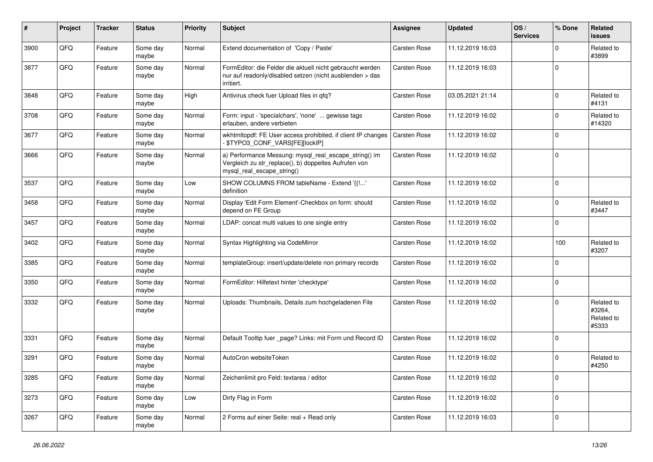| #    | Project | <b>Tracker</b> | <b>Status</b>     | <b>Priority</b> | <b>Subject</b>                                                                                                                               | <b>Assignee</b>     | <b>Updated</b>   | OS/<br><b>Services</b> | % Done      | Related<br>issues                           |
|------|---------|----------------|-------------------|-----------------|----------------------------------------------------------------------------------------------------------------------------------------------|---------------------|------------------|------------------------|-------------|---------------------------------------------|
| 3900 | QFQ     | Feature        | Some day<br>maybe | Normal          | Extend documentation of 'Copy / Paste'                                                                                                       | Carsten Rose        | 11.12.2019 16:03 |                        | $\Omega$    | Related to<br>#3899                         |
| 3877 | QFQ     | Feature        | Some day<br>maybe | Normal          | FormEditor: die Felder die aktuell nicht gebraucht werden<br>nur auf readonly/disabled setzen (nicht ausblenden > das<br>irritiert.          | Carsten Rose        | 11.12.2019 16:03 |                        | $\mathbf 0$ |                                             |
| 3848 | QFQ     | Feature        | Some day<br>maybe | High            | Antivirus check fuer Upload files in qfq?                                                                                                    | <b>Carsten Rose</b> | 03.05.2021 21:14 |                        | $\mathbf 0$ | Related to<br>#4131                         |
| 3708 | QFQ     | Feature        | Some day<br>maybe | Normal          | Form: input - 'specialchars', 'none'  gewisse tags<br>erlauben, andere verbieten                                                             | Carsten Rose        | 11.12.2019 16:02 |                        | $\mathbf 0$ | Related to<br>#14320                        |
| 3677 | QFQ     | Feature        | Some day<br>maybe | Normal          | wkhtmltopdf: FE User access prohibited, if client IP changes<br>- \$TYPO3_CONF_VARS[FE][lockIP]                                              | Carsten Rose        | 11.12.2019 16:02 |                        | $\mathbf 0$ |                                             |
| 3666 | QFQ     | Feature        | Some day<br>maybe | Normal          | a) Performance Messung: mysql_real_escape_string() im<br>Vergleich zu str_replace(), b) doppeltes Aufrufen von<br>mysql_real_escape_string() | Carsten Rose        | 11.12.2019 16:02 |                        | $\mathbf 0$ |                                             |
| 3537 | QFQ     | Feature        | Some day<br>maybe | Low             | SHOW COLUMNS FROM tableName - Extend '{{!'<br>definition                                                                                     | Carsten Rose        | 11.12.2019 16:02 |                        | $\Omega$    |                                             |
| 3458 | QFQ     | Feature        | Some day<br>maybe | Normal          | Display 'Edit Form Element'-Checkbox on form: should<br>depend on FE Group                                                                   | Carsten Rose        | 11.12.2019 16:02 |                        | $\mathbf 0$ | Related to<br>#3447                         |
| 3457 | QFQ     | Feature        | Some day<br>maybe | Normal          | LDAP: concat multi values to one single entry                                                                                                | Carsten Rose        | 11.12.2019 16:02 |                        | $\mathbf 0$ |                                             |
| 3402 | QFQ     | Feature        | Some day<br>maybe | Normal          | Syntax Highlighting via CodeMirror                                                                                                           | Carsten Rose        | 11.12.2019 16:02 |                        | 100         | Related to<br>#3207                         |
| 3385 | QFQ     | Feature        | Some day<br>maybe | Normal          | templateGroup: insert/update/delete non primary records                                                                                      | Carsten Rose        | 11.12.2019 16:02 |                        | $\mathbf 0$ |                                             |
| 3350 | QFQ     | Feature        | Some day<br>maybe | Normal          | FormEditor: Hilfetext hinter 'checktype'                                                                                                     | Carsten Rose        | 11.12.2019 16:02 |                        | $\mathbf 0$ |                                             |
| 3332 | QFQ     | Feature        | Some day<br>maybe | Normal          | Uploads: Thumbnails, Details zum hochgeladenen File                                                                                          | <b>Carsten Rose</b> | 11.12.2019 16:02 |                        | $\Omega$    | Related to<br>#3264,<br>Related to<br>#5333 |
| 3331 | QFQ     | Feature        | Some day<br>maybe | Normal          | Default Tooltip fuer _page? Links: mit Form und Record ID                                                                                    | <b>Carsten Rose</b> | 11.12.2019 16:02 |                        | $\mathbf 0$ |                                             |
| 3291 | QFQ     | Feature        | Some day<br>maybe | Normal          | AutoCron websiteToken                                                                                                                        | Carsten Rose        | 11.12.2019 16:02 |                        | $\Omega$    | Related to<br>#4250                         |
| 3285 | QFG     | Feature        | Some day<br>maybe | Normal          | Zeichenlimit pro Feld: textarea / editor                                                                                                     | Carsten Rose        | 11.12.2019 16:02 |                        | 0           |                                             |
| 3273 | QFO     | Feature        | Some day<br>maybe | Low             | Dirty Flag in Form                                                                                                                           | Carsten Rose        | 11.12.2019 16:02 |                        | $\mathbf 0$ |                                             |
| 3267 | QFQ     | Feature        | Some day<br>maybe | Normal          | 2 Forms auf einer Seite: real + Read only                                                                                                    | Carsten Rose        | 11.12.2019 16:03 |                        | $\mathbf 0$ |                                             |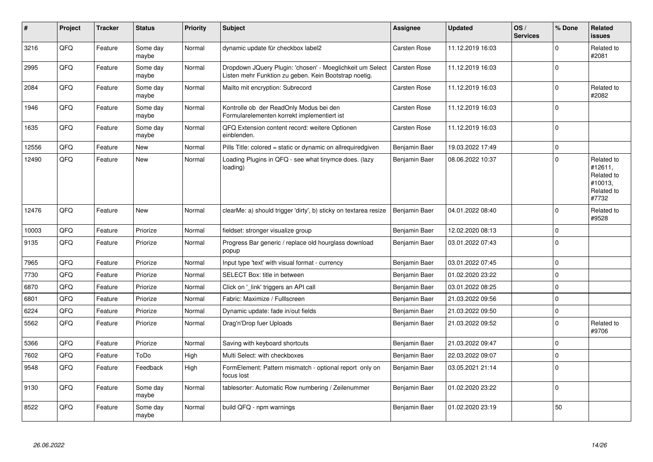| $\vert$ # | Project | <b>Tracker</b> | <b>Status</b>     | <b>Priority</b> | <b>Subject</b>                                                                                                     | Assignee            | <b>Updated</b>   | OS/<br><b>Services</b> | % Done      | Related<br>issues                                                     |
|-----------|---------|----------------|-------------------|-----------------|--------------------------------------------------------------------------------------------------------------------|---------------------|------------------|------------------------|-------------|-----------------------------------------------------------------------|
| 3216      | QFQ     | Feature        | Some day<br>maybe | Normal          | dynamic update für checkbox label2                                                                                 | <b>Carsten Rose</b> | 11.12.2019 16:03 |                        | $\Omega$    | Related to<br>#2081                                                   |
| 2995      | QFQ     | Feature        | Some dav<br>maybe | Normal          | Dropdown JQuery Plugin: 'chosen' - Moeglichkeit um Select<br>Listen mehr Funktion zu geben. Kein Bootstrap noetig. | Carsten Rose        | 11.12.2019 16:03 |                        | $\Omega$    |                                                                       |
| 2084      | QFQ     | Feature        | Some day<br>maybe | Normal          | Mailto mit encryption: Subrecord                                                                                   | Carsten Rose        | 11.12.2019 16:03 |                        | 0           | Related to<br>#2082                                                   |
| 1946      | QFQ     | Feature        | Some day<br>maybe | Normal          | Kontrolle ob der ReadOnly Modus bei den<br>Formularelementen korrekt implementiert ist                             | Carsten Rose        | 11.12.2019 16:03 |                        | $\mathbf 0$ |                                                                       |
| 1635      | QFQ     | Feature        | Some day<br>maybe | Normal          | QFQ Extension content record: weitere Optionen<br>einblenden.                                                      | Carsten Rose        | 11.12.2019 16:03 |                        | $\Omega$    |                                                                       |
| 12556     | QFQ     | Feature        | <b>New</b>        | Normal          | Pills Title: colored = static or dynamic on allrequiredgiven                                                       | Benjamin Baer       | 19.03.2022 17:49 |                        | 0           |                                                                       |
| 12490     | QFQ     | Feature        | New               | Normal          | Loading Plugins in QFQ - see what tinymce does. (lazy<br>loading)                                                  | Benjamin Baer       | 08.06.2022 10:37 |                        | $\Omega$    | Related to<br>#12611,<br>Related to<br>#10013,<br>Related to<br>#7732 |
| 12476     | QFQ     | Feature        | <b>New</b>        | Normal          | clearMe: a) should trigger 'dirty', b) sticky on textarea resize                                                   | Benjamin Baer       | 04.01.2022 08:40 |                        | $\Omega$    | Related to<br>#9528                                                   |
| 10003     | QFQ     | Feature        | Priorize          | Normal          | fieldset: stronger visualize group                                                                                 | Benjamin Baer       | 12.02.2020 08:13 |                        | $\Omega$    |                                                                       |
| 9135      | QFQ     | Feature        | Priorize          | Normal          | Progress Bar generic / replace old hourglass download<br>popup                                                     | Benjamin Baer       | 03.01.2022 07:43 |                        | $\Omega$    |                                                                       |
| 7965      | QFQ     | Feature        | Priorize          | Normal          | Input type 'text' with visual format - currency                                                                    | Benjamin Baer       | 03.01.2022 07:45 |                        | $\mathbf 0$ |                                                                       |
| 7730      | QFQ     | Feature        | Priorize          | Normal          | SELECT Box: title in between                                                                                       | Benjamin Baer       | 01.02.2020 23:22 |                        | $\Omega$    |                                                                       |
| 6870      | QFQ     | Feature        | Priorize          | Normal          | Click on ' link' triggers an API call                                                                              | Benjamin Baer       | 03.01.2022 08:25 |                        | 0           |                                                                       |
| 6801      | QFQ     | Feature        | Priorize          | Normal          | Fabric: Maximize / FullIscreen                                                                                     | Benjamin Baer       | 21.03.2022 09:56 |                        | $\Omega$    |                                                                       |
| 6224      | QFQ     | Feature        | Priorize          | Normal          | Dynamic update: fade in/out fields                                                                                 | Benjamin Baer       | 21.03.2022 09:50 |                        | $\mathbf 0$ |                                                                       |
| 5562      | QFQ     | Feature        | Priorize          | Normal          | Drag'n'Drop fuer Uploads                                                                                           | Benjamin Baer       | 21.03.2022 09:52 |                        | 0           | Related to<br>#9706                                                   |
| 5366      | QFQ     | Feature        | Priorize          | Normal          | Saving with keyboard shortcuts                                                                                     | Benjamin Baer       | 21.03.2022 09:47 |                        | $\Omega$    |                                                                       |
| 7602      | QFQ     | Feature        | ToDo              | High            | Multi Select: with checkboxes                                                                                      | Benjamin Baer       | 22.03.2022 09:07 |                        | $\mathbf 0$ |                                                                       |
| 9548      | QFQ     | Feature        | Feedback          | High            | FormElement: Pattern mismatch - optional report only on<br>focus lost                                              | Benjamin Baer       | 03.05.2021 21:14 |                        | $\Omega$    |                                                                       |
| 9130      | QFQ     | Feature        | Some day<br>maybe | Normal          | tablesorter: Automatic Row numbering / Zeilenummer                                                                 | Benjamin Baer       | 01.02.2020 23:22 |                        | $\Omega$    |                                                                       |
| 8522      | QFQ     | Feature        | Some day<br>maybe | Normal          | build QFQ - npm warnings                                                                                           | Benjamin Baer       | 01.02.2020 23:19 |                        | 50          |                                                                       |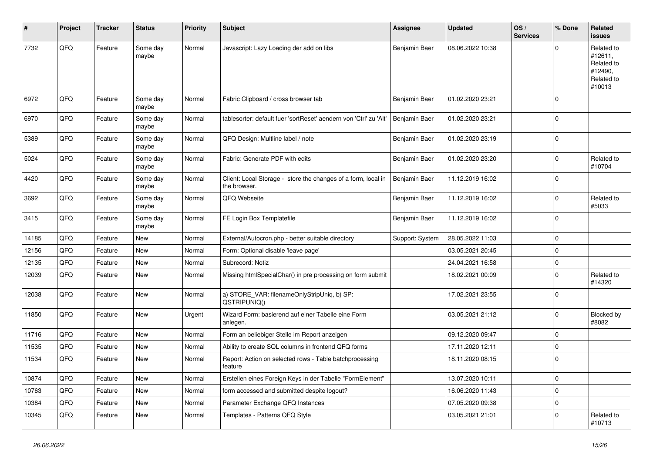| #     | Project | <b>Tracker</b> | <b>Status</b>     | <b>Priority</b> | <b>Subject</b>                                                                | <b>Assignee</b> | <b>Updated</b>   | OS/<br><b>Services</b> | % Done      | Related<br>issues                                                      |
|-------|---------|----------------|-------------------|-----------------|-------------------------------------------------------------------------------|-----------------|------------------|------------------------|-------------|------------------------------------------------------------------------|
| 7732  | QFQ     | Feature        | Some day<br>maybe | Normal          | Javascript: Lazy Loading der add on libs                                      | Benjamin Baer   | 08.06.2022 10:38 |                        | $\Omega$    | Related to<br>#12611,<br>Related to<br>#12490,<br>Related to<br>#10013 |
| 6972  | QFQ     | Feature        | Some day<br>maybe | Normal          | Fabric Clipboard / cross browser tab                                          | Benjamin Baer   | 01.02.2020 23:21 |                        | $\Omega$    |                                                                        |
| 6970  | QFQ     | Feature        | Some day<br>maybe | Normal          | tablesorter: default fuer 'sortReset' aendern von 'Ctrl' zu 'Alt'             | Benjamin Baer   | 01.02.2020 23:21 |                        | $\Omega$    |                                                                        |
| 5389  | QFQ     | Feature        | Some day<br>maybe | Normal          | QFQ Design: Multline label / note                                             | Benjamin Baer   | 01.02.2020 23:19 |                        | 0           |                                                                        |
| 5024  | QFQ     | Feature        | Some day<br>maybe | Normal          | Fabric: Generate PDF with edits                                               | Benjamin Baer   | 01.02.2020 23:20 |                        | $\Omega$    | Related to<br>#10704                                                   |
| 4420  | QFQ     | Feature        | Some day<br>maybe | Normal          | Client: Local Storage - store the changes of a form, local in<br>the browser. | Benjamin Baer   | 11.12.2019 16:02 |                        | $\mathbf 0$ |                                                                        |
| 3692  | QFQ     | Feature        | Some day<br>maybe | Normal          | QFQ Webseite                                                                  | Benjamin Baer   | 11.12.2019 16:02 |                        | 0           | Related to<br>#5033                                                    |
| 3415  | QFQ     | Feature        | Some day<br>maybe | Normal          | FE Login Box Templatefile                                                     | Benjamin Baer   | 11.12.2019 16:02 |                        | $\Omega$    |                                                                        |
| 14185 | QFQ     | Feature        | <b>New</b>        | Normal          | External/Autocron.php - better suitable directory                             | Support: System | 28.05.2022 11:03 |                        | $\Omega$    |                                                                        |
| 12156 | QFQ     | Feature        | New               | Normal          | Form: Optional disable 'leave page'                                           |                 | 03.05.2021 20:45 |                        | $\pmb{0}$   |                                                                        |
| 12135 | QFQ     | Feature        | <b>New</b>        | Normal          | Subrecord: Notiz                                                              |                 | 24.04.2021 16:58 |                        | $\pmb{0}$   |                                                                        |
| 12039 | QFQ     | Feature        | New               | Normal          | Missing htmlSpecialChar() in pre processing on form submit                    |                 | 18.02.2021 00:09 |                        | $\mathbf 0$ | Related to<br>#14320                                                   |
| 12038 | QFQ     | Feature        | <b>New</b>        | Normal          | a) STORE_VAR: filenameOnlyStripUniq, b) SP:<br>QSTRIPUNIQ()                   |                 | 17.02.2021 23:55 |                        | 0           |                                                                        |
| 11850 | QFQ     | Feature        | New               | Urgent          | Wizard Form: basierend auf einer Tabelle eine Form<br>anlegen.                |                 | 03.05.2021 21:12 |                        | $\Omega$    | <b>Blocked by</b><br>#8082                                             |
| 11716 | QFQ     | Feature        | <b>New</b>        | Normal          | Form an beliebiger Stelle im Report anzeigen                                  |                 | 09.12.2020 09:47 |                        | $\Omega$    |                                                                        |
| 11535 | QFQ     | Feature        | <b>New</b>        | Normal          | Ability to create SQL columns in frontend QFQ forms                           |                 | 17.11.2020 12:11 |                        | $\mathbf 0$ |                                                                        |
| 11534 | QFQ     | Feature        | New               | Normal          | Report: Action on selected rows - Table batchprocessing<br>feature            |                 | 18.11.2020 08:15 |                        | $\Omega$    |                                                                        |
| 10874 | QFQ     | Feature        | New               | Normal          | Erstellen eines Foreign Keys in der Tabelle "FormElement"                     |                 | 13.07.2020 10:11 |                        | $\Omega$    |                                                                        |
| 10763 | QFQ     | Feature        | New               | Normal          | form accessed and submitted despite logout?                                   |                 | 16.06.2020 11:43 |                        | 0           |                                                                        |
| 10384 | QFQ     | Feature        | New               | Normal          | Parameter Exchange QFQ Instances                                              |                 | 07.05.2020 09:38 |                        | 0           |                                                                        |
| 10345 | QFQ     | Feature        | New               | Normal          | Templates - Patterns QFQ Style                                                |                 | 03.05.2021 21:01 |                        | $\Omega$    | Related to<br>#10713                                                   |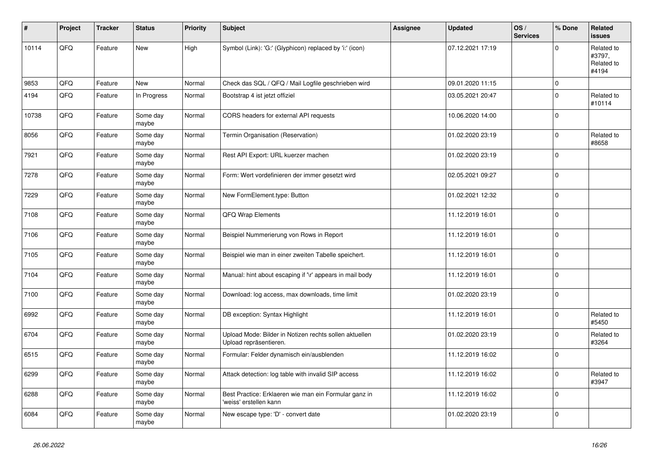| #     | Project | <b>Tracker</b> | <b>Status</b>     | <b>Priority</b> | <b>Subject</b>                                                                   | Assignee | <b>Updated</b>   | OS/<br><b>Services</b> | % Done      | Related<br><b>issues</b>                    |
|-------|---------|----------------|-------------------|-----------------|----------------------------------------------------------------------------------|----------|------------------|------------------------|-------------|---------------------------------------------|
| 10114 | QFQ     | Feature        | <b>New</b>        | High            | Symbol (Link): 'G:' (Glyphicon) replaced by 'i:' (icon)                          |          | 07.12.2021 17:19 |                        | $\Omega$    | Related to<br>#3797,<br>Related to<br>#4194 |
| 9853  | QFQ     | Feature        | <b>New</b>        | Normal          | Check das SQL / QFQ / Mail Logfile geschrieben wird                              |          | 09.01.2020 11:15 |                        | $\mathbf 0$ |                                             |
| 4194  | QFQ     | Feature        | In Progress       | Normal          | Bootstrap 4 ist jetzt offiziel                                                   |          | 03.05.2021 20:47 |                        | $\mathbf 0$ | Related to<br>#10114                        |
| 10738 | QFQ     | Feature        | Some day<br>maybe | Normal          | CORS headers for external API requests                                           |          | 10.06.2020 14:00 |                        | $\Omega$    |                                             |
| 8056  | QFQ     | Feature        | Some day<br>maybe | Normal          | Termin Organisation (Reservation)                                                |          | 01.02.2020 23:19 |                        | $\mathbf 0$ | Related to<br>#8658                         |
| 7921  | QFQ     | Feature        | Some day<br>maybe | Normal          | Rest API Export: URL kuerzer machen                                              |          | 01.02.2020 23:19 |                        | $\Omega$    |                                             |
| 7278  | QFQ     | Feature        | Some day<br>maybe | Normal          | Form: Wert vordefinieren der immer gesetzt wird                                  |          | 02.05.2021 09:27 |                        | $\mathbf 0$ |                                             |
| 7229  | QFQ     | Feature        | Some day<br>maybe | Normal          | New FormElement.type: Button                                                     |          | 01.02.2021 12:32 |                        | $\mathbf 0$ |                                             |
| 7108  | QFQ     | Feature        | Some day<br>maybe | Normal          | QFQ Wrap Elements                                                                |          | 11.12.2019 16:01 |                        | $\mathbf 0$ |                                             |
| 7106  | QFQ     | Feature        | Some day<br>maybe | Normal          | Beispiel Nummerierung von Rows in Report                                         |          | 11.12.2019 16:01 |                        | $\mathbf 0$ |                                             |
| 7105  | QFQ     | Feature        | Some day<br>maybe | Normal          | Beispiel wie man in einer zweiten Tabelle speichert.                             |          | 11.12.2019 16:01 |                        | $\Omega$    |                                             |
| 7104  | QFQ     | Feature        | Some day<br>maybe | Normal          | Manual: hint about escaping if '\r' appears in mail body                         |          | 11.12.2019 16:01 |                        | $\mathbf 0$ |                                             |
| 7100  | QFQ     | Feature        | Some day<br>maybe | Normal          | Download: log access, max downloads, time limit                                  |          | 01.02.2020 23:19 |                        | $\Omega$    |                                             |
| 6992  | QFQ     | Feature        | Some day<br>maybe | Normal          | DB exception: Syntax Highlight                                                   |          | 11.12.2019 16:01 |                        | $\Omega$    | Related to<br>#5450                         |
| 6704  | QFQ     | Feature        | Some day<br>maybe | Normal          | Upload Mode: Bilder in Notizen rechts sollen aktuellen<br>Upload repräsentieren. |          | 01.02.2020 23:19 |                        | $\mathbf 0$ | Related to<br>#3264                         |
| 6515  | QFQ     | Feature        | Some day<br>maybe | Normal          | Formular: Felder dynamisch ein/ausblenden                                        |          | 11.12.2019 16:02 |                        | $\mathbf 0$ |                                             |
| 6299  | QFQ     | Feature        | Some day<br>maybe | Normal          | Attack detection: log table with invalid SIP access                              |          | 11.12.2019 16:02 |                        | $\Omega$    | Related to<br>#3947                         |
| 6288  | QFQ     | Feature        | Some day<br>maybe | Normal          | Best Practice: Erklaeren wie man ein Formular ganz in<br>'weiss' erstellen kann  |          | 11.12.2019 16:02 |                        | $\mathbf 0$ |                                             |
| 6084  | QFQ     | Feature        | Some day<br>maybe | Normal          | New escape type: 'D' - convert date                                              |          | 01.02.2020 23:19 |                        | $\mathbf 0$ |                                             |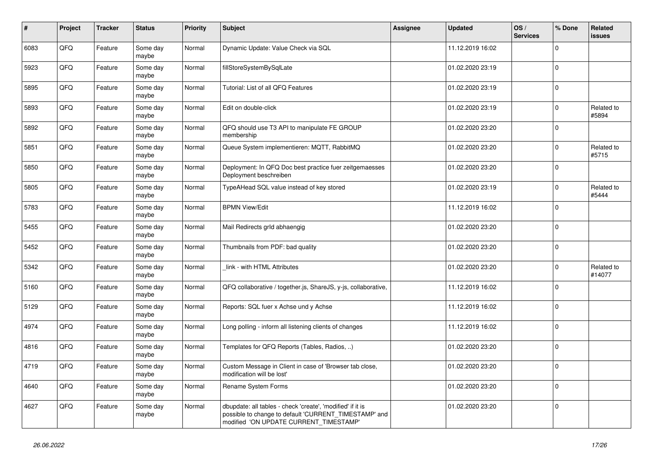| #    | Project | <b>Tracker</b> | <b>Status</b>     | <b>Priority</b> | <b>Subject</b>                                                                                                                                                | Assignee | <b>Updated</b>   | OS/<br><b>Services</b> | % Done      | Related<br>issues    |
|------|---------|----------------|-------------------|-----------------|---------------------------------------------------------------------------------------------------------------------------------------------------------------|----------|------------------|------------------------|-------------|----------------------|
| 6083 | QFQ     | Feature        | Some day<br>maybe | Normal          | Dynamic Update: Value Check via SQL                                                                                                                           |          | 11.12.2019 16:02 |                        | $\Omega$    |                      |
| 5923 | QFQ     | Feature        | Some day<br>maybe | Normal          | fillStoreSystemBySqlLate                                                                                                                                      |          | 01.02.2020 23:19 |                        | $\Omega$    |                      |
| 5895 | QFQ     | Feature        | Some day<br>maybe | Normal          | Tutorial: List of all QFQ Features                                                                                                                            |          | 01.02.2020 23:19 |                        | $\Omega$    |                      |
| 5893 | QFQ     | Feature        | Some day<br>maybe | Normal          | Edit on double-click                                                                                                                                          |          | 01.02.2020 23:19 |                        | $\Omega$    | Related to<br>#5894  |
| 5892 | QFQ     | Feature        | Some day<br>maybe | Normal          | QFQ should use T3 API to manipulate FE GROUP<br>membership                                                                                                    |          | 01.02.2020 23:20 |                        | $\mathbf 0$ |                      |
| 5851 | QFQ     | Feature        | Some day<br>maybe | Normal          | Queue System implementieren: MQTT, RabbitMQ                                                                                                                   |          | 01.02.2020 23:20 |                        | $\Omega$    | Related to<br>#5715  |
| 5850 | QFQ     | Feature        | Some day<br>maybe | Normal          | Deployment: In QFQ Doc best practice fuer zeitgemaesses<br>Deployment beschreiben                                                                             |          | 01.02.2020 23:20 |                        | $\Omega$    |                      |
| 5805 | QFQ     | Feature        | Some day<br>maybe | Normal          | TypeAHead SQL value instead of key stored                                                                                                                     |          | 01.02.2020 23:19 |                        | $\pmb{0}$   | Related to<br>#5444  |
| 5783 | QFQ     | Feature        | Some day<br>maybe | Normal          | <b>BPMN View/Edit</b>                                                                                                                                         |          | 11.12.2019 16:02 |                        | $\Omega$    |                      |
| 5455 | QFQ     | Feature        | Some day<br>maybe | Normal          | Mail Redirects grld abhaengig                                                                                                                                 |          | 01.02.2020 23:20 |                        | $\Omega$    |                      |
| 5452 | QFQ     | Feature        | Some day<br>maybe | Normal          | Thumbnails from PDF: bad quality                                                                                                                              |          | 01.02.2020 23:20 |                        | $\pmb{0}$   |                      |
| 5342 | QFQ     | Feature        | Some day<br>maybe | Normal          | link - with HTML Attributes                                                                                                                                   |          | 01.02.2020 23:20 |                        | $\Omega$    | Related to<br>#14077 |
| 5160 | QFQ     | Feature        | Some day<br>maybe | Normal          | QFQ collaborative / together.js, ShareJS, y-js, collaborative,                                                                                                |          | 11.12.2019 16:02 |                        | $\Omega$    |                      |
| 5129 | QFQ     | Feature        | Some day<br>maybe | Normal          | Reports: SQL fuer x Achse und y Achse                                                                                                                         |          | 11.12.2019 16:02 |                        | $\Omega$    |                      |
| 4974 | QFQ     | Feature        | Some day<br>maybe | Normal          | Long polling - inform all listening clients of changes                                                                                                        |          | 11.12.2019 16:02 |                        | $\mathbf 0$ |                      |
| 4816 | QFQ     | Feature        | Some day<br>maybe | Normal          | Templates for QFQ Reports (Tables, Radios, )                                                                                                                  |          | 01.02.2020 23:20 |                        | $\mathbf 0$ |                      |
| 4719 | QFQ     | Feature        | Some day<br>maybe | Normal          | Custom Message in Client in case of 'Browser tab close,<br>modification will be lost'                                                                         |          | 01.02.2020 23:20 |                        | 0           |                      |
| 4640 | QFQ     | Feature        | Some day<br>maybe | Normal          | Rename System Forms                                                                                                                                           |          | 01.02.2020 23:20 |                        | $\mathbf 0$ |                      |
| 4627 | QFQ     | Feature        | Some day<br>maybe | Normal          | dbupdate: all tables - check 'create', 'modified' if it is<br>possible to change to default 'CURRENT_TIMESTAMP' and<br>modified 'ON UPDATE CURRENT_TIMESTAMP' |          | 01.02.2020 23:20 |                        | $\pmb{0}$   |                      |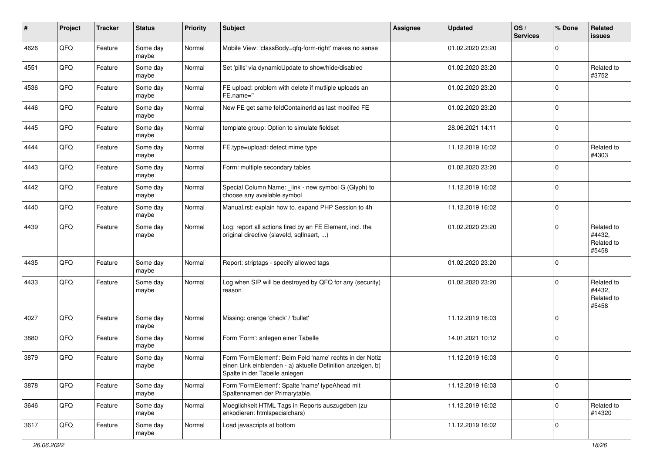| #    | Project | <b>Tracker</b> | <b>Status</b>     | <b>Priority</b> | <b>Subject</b>                                                                                                                                           | Assignee | <b>Updated</b>   | OS/<br><b>Services</b> | % Done      | Related<br><b>issues</b>                    |
|------|---------|----------------|-------------------|-----------------|----------------------------------------------------------------------------------------------------------------------------------------------------------|----------|------------------|------------------------|-------------|---------------------------------------------|
| 4626 | QFQ     | Feature        | Some day<br>maybe | Normal          | Mobile View: 'classBody=qfq-form-right' makes no sense                                                                                                   |          | 01.02.2020 23:20 |                        | $\Omega$    |                                             |
| 4551 | QFQ     | Feature        | Some day<br>maybe | Normal          | Set 'pills' via dynamicUpdate to show/hide/disabled                                                                                                      |          | 01.02.2020 23:20 |                        | $\mathbf 0$ | Related to<br>#3752                         |
| 4536 | QFQ     | Feature        | Some day<br>maybe | Normal          | FE upload: problem with delete if mutliple uploads an<br>FE.name="                                                                                       |          | 01.02.2020 23:20 |                        | $\mathbf 0$ |                                             |
| 4446 | QFQ     | Feature        | Some day<br>maybe | Normal          | New FE get same feldContainerId as last modifed FE                                                                                                       |          | 01.02.2020 23:20 |                        | $\mathbf 0$ |                                             |
| 4445 | QFQ     | Feature        | Some day<br>maybe | Normal          | template group: Option to simulate fieldset                                                                                                              |          | 28.06.2021 14:11 |                        | $\mathbf 0$ |                                             |
| 4444 | QFQ     | Feature        | Some day<br>maybe | Normal          | FE.type=upload: detect mime type                                                                                                                         |          | 11.12.2019 16:02 |                        | $\mathbf 0$ | Related to<br>#4303                         |
| 4443 | QFQ     | Feature        | Some day<br>maybe | Normal          | Form: multiple secondary tables                                                                                                                          |          | 01.02.2020 23:20 |                        | $\mathbf 0$ |                                             |
| 4442 | QFQ     | Feature        | Some day<br>maybe | Normal          | Special Column Name: _link - new symbol G (Glyph) to<br>choose any available symbol                                                                      |          | 11.12.2019 16:02 |                        | $\mathbf 0$ |                                             |
| 4440 | QFQ     | Feature        | Some day<br>maybe | Normal          | Manual.rst: explain how to. expand PHP Session to 4h                                                                                                     |          | 11.12.2019 16:02 |                        | $\pmb{0}$   |                                             |
| 4439 | QFQ     | Feature        | Some day<br>maybe | Normal          | Log: report all actions fired by an FE Element, incl. the<br>original directive (slaveld, sqllnsert, )                                                   |          | 01.02.2020 23:20 |                        | $\mathbf 0$ | Related to<br>#4432,<br>Related to<br>#5458 |
| 4435 | QFQ     | Feature        | Some day<br>maybe | Normal          | Report: striptags - specify allowed tags                                                                                                                 |          | 01.02.2020 23:20 |                        | $\mathbf 0$ |                                             |
| 4433 | QFQ     | Feature        | Some day<br>maybe | Normal          | Log when SIP will be destroyed by QFQ for any (security)<br>reason                                                                                       |          | 01.02.2020 23:20 |                        | $\mathbf 0$ | Related to<br>#4432.<br>Related to<br>#5458 |
| 4027 | QFQ     | Feature        | Some day<br>maybe | Normal          | Missing: orange 'check' / 'bullet'                                                                                                                       |          | 11.12.2019 16:03 |                        | $\mathbf 0$ |                                             |
| 3880 | QFQ     | Feature        | Some day<br>maybe | Normal          | Form 'Form': anlegen einer Tabelle                                                                                                                       |          | 14.01.2021 10:12 |                        | $\mathbf 0$ |                                             |
| 3879 | QFQ     | Feature        | Some day<br>maybe | Normal          | Form 'FormElement': Beim Feld 'name' rechts in der Notiz<br>einen Link einblenden - a) aktuelle Definition anzeigen, b)<br>Spalte in der Tabelle anlegen |          | 11.12.2019 16:03 |                        | $\mathbf 0$ |                                             |
| 3878 | QFO     | Feature        | Some day<br>maybe | Normal          | Form 'FormElement': Spalte 'name' typeAhead mit<br>Spaltennamen der Primarytable.                                                                        |          | 11.12.2019 16:03 |                        | $\mathbf 0$ |                                             |
| 3646 | QFG     | Feature        | Some day<br>maybe | Normal          | Moeglichkeit HTML Tags in Reports auszugeben (zu<br>enkodieren: htmlspecialchars)                                                                        |          | 11.12.2019 16:02 |                        | $\mathbf 0$ | Related to<br>#14320                        |
| 3617 | QFG     | Feature        | Some day<br>maybe | Normal          | Load javascripts at bottom                                                                                                                               |          | 11.12.2019 16:02 |                        | 0           |                                             |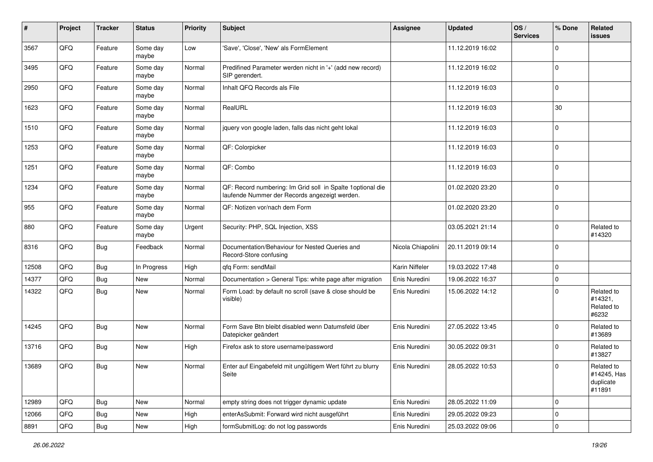| #     | Project | <b>Tracker</b> | <b>Status</b>     | <b>Priority</b> | <b>Subject</b>                                                                                              | <b>Assignee</b>   | <b>Updated</b>   | OS/<br><b>Services</b> | % Done      | Related<br>issues                                |
|-------|---------|----------------|-------------------|-----------------|-------------------------------------------------------------------------------------------------------------|-------------------|------------------|------------------------|-------------|--------------------------------------------------|
| 3567  | QFQ     | Feature        | Some day<br>maybe | Low             | 'Save', 'Close', 'New' als FormElement                                                                      |                   | 11.12.2019 16:02 |                        | $\mathbf 0$ |                                                  |
| 3495  | QFQ     | Feature        | Some day<br>maybe | Normal          | Predifined Parameter werden nicht in '+' (add new record)<br>SIP gerendert.                                 |                   | 11.12.2019 16:02 |                        | $\mathbf 0$ |                                                  |
| 2950  | QFQ     | Feature        | Some day<br>maybe | Normal          | Inhalt QFQ Records als File                                                                                 |                   | 11.12.2019 16:03 |                        | $\Omega$    |                                                  |
| 1623  | QFQ     | Feature        | Some day<br>maybe | Normal          | RealURL                                                                                                     |                   | 11.12.2019 16:03 |                        | 30          |                                                  |
| 1510  | QFQ     | Feature        | Some day<br>maybe | Normal          | jquery von google laden, falls das nicht geht lokal                                                         |                   | 11.12.2019 16:03 |                        | $\Omega$    |                                                  |
| 1253  | QFQ     | Feature        | Some day<br>maybe | Normal          | QF: Colorpicker                                                                                             |                   | 11.12.2019 16:03 |                        | 0           |                                                  |
| 1251  | QFQ     | Feature        | Some day<br>maybe | Normal          | QF: Combo                                                                                                   |                   | 11.12.2019 16:03 |                        | $\mathbf 0$ |                                                  |
| 1234  | QFQ     | Feature        | Some day<br>maybe | Normal          | QF: Record numbering: Im Grid soll in Spalte 1optional die<br>laufende Nummer der Records angezeigt werden. |                   | 01.02.2020 23:20 |                        | 0           |                                                  |
| 955   | QFQ     | Feature        | Some day<br>maybe | Normal          | QF: Notizen vor/nach dem Form                                                                               |                   | 01.02.2020 23:20 |                        | $\mathbf 0$ |                                                  |
| 880   | QFQ     | Feature        | Some day<br>maybe | Urgent          | Security: PHP, SQL Injection, XSS                                                                           |                   | 03.05.2021 21:14 |                        | 0           | Related to<br>#14320                             |
| 8316  | QFQ     | <b>Bug</b>     | Feedback          | Normal          | Documentation/Behaviour for Nested Queries and<br>Record-Store confusing                                    | Nicola Chiapolini | 20.11.2019 09:14 |                        | $\Omega$    |                                                  |
| 12508 | QFQ     | <b>Bug</b>     | In Progress       | High            | qfq Form: sendMail                                                                                          | Karin Niffeler    | 19.03.2022 17:48 |                        | $\mathbf 0$ |                                                  |
| 14377 | QFQ     | <b>Bug</b>     | New               | Normal          | Documentation > General Tips: white page after migration                                                    | Enis Nuredini     | 19.06.2022 16:37 |                        | 0           |                                                  |
| 14322 | QFQ     | <b>Bug</b>     | New               | Normal          | Form Load: by default no scroll (save & close should be<br>visible)                                         | Enis Nuredini     | 15.06.2022 14:12 |                        | $\Omega$    | Related to<br>#14321,<br>Related to<br>#6232     |
| 14245 | QFQ     | <b>Bug</b>     | New               | Normal          | Form Save Btn bleibt disabled wenn Datumsfeld über<br>Datepicker geändert                                   | Enis Nuredini     | 27.05.2022 13:45 |                        | $\Omega$    | Related to<br>#13689                             |
| 13716 | QFQ     | Bug            | <b>New</b>        | High            | Firefox ask to store username/password                                                                      | Enis Nuredini     | 30.05.2022 09:31 |                        | $\Omega$    | Related to<br>#13827                             |
| 13689 | QFQ     | Bug            | <b>New</b>        | Normal          | Enter auf Eingabefeld mit ungültigem Wert führt zu blurry<br>Seite                                          | Enis Nuredini     | 28.05.2022 10:53 |                        | $\mathbf 0$ | Related to<br>#14245, Has<br>duplicate<br>#11891 |
| 12989 | QFQ     | Bug            | New               | Normal          | empty string does not trigger dynamic update                                                                | Enis Nuredini     | 28.05.2022 11:09 |                        | $\mathbf 0$ |                                                  |
| 12066 | QFQ     | <b>Bug</b>     | New               | High            | enterAsSubmit: Forward wird nicht ausgeführt                                                                | Enis Nuredini     | 29.05.2022 09:23 |                        | 0           |                                                  |
| 8891  | QFG     | <b>Bug</b>     | New               | High            | formSubmitLog: do not log passwords                                                                         | Enis Nuredini     | 25.03.2022 09:06 |                        | $\pmb{0}$   |                                                  |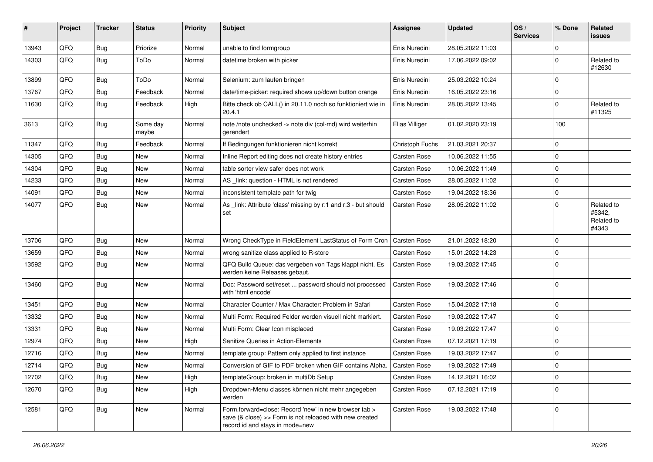| #     | Project | <b>Tracker</b> | <b>Status</b>     | <b>Priority</b> | <b>Subject</b>                                                                                                                                      | <b>Assignee</b>     | <b>Updated</b>   | OS/<br><b>Services</b> | % Done      | Related<br>issues                           |
|-------|---------|----------------|-------------------|-----------------|-----------------------------------------------------------------------------------------------------------------------------------------------------|---------------------|------------------|------------------------|-------------|---------------------------------------------|
| 13943 | QFQ     | <b>Bug</b>     | Priorize          | Normal          | unable to find formgroup                                                                                                                            | Enis Nuredini       | 28.05.2022 11:03 |                        | $\Omega$    |                                             |
| 14303 | QFQ     | <b>Bug</b>     | ToDo              | Normal          | datetime broken with picker                                                                                                                         | Enis Nuredini       | 17.06.2022 09:02 |                        | $\mathbf 0$ | Related to<br>#12630                        |
| 13899 | QFQ     | <b>Bug</b>     | ToDo              | Normal          | Selenium: zum laufen bringen                                                                                                                        | Enis Nuredini       | 25.03.2022 10:24 |                        | $\mathbf 0$ |                                             |
| 13767 | QFQ     | <b>Bug</b>     | Feedback          | Normal          | date/time-picker: required shows up/down button orange                                                                                              | Enis Nuredini       | 16.05.2022 23:16 |                        | 0           |                                             |
| 11630 | QFQ     | <b>Bug</b>     | Feedback          | High            | Bitte check ob CALL() in 20.11.0 noch so funktioniert wie in<br>20.4.1                                                                              | Enis Nuredini       | 28.05.2022 13:45 |                        | $\mathbf 0$ | Related to<br>#11325                        |
| 3613  | QFQ     | <b>Bug</b>     | Some day<br>maybe | Normal          | note /note unchecked -> note div (col-md) wird weiterhin<br>gerendert                                                                               | Elias Villiger      | 01.02.2020 23:19 |                        | 100         |                                             |
| 11347 | QFQ     | <b>Bug</b>     | Feedback          | Normal          | If Bedingungen funktionieren nicht korrekt                                                                                                          | Christoph Fuchs     | 21.03.2021 20:37 |                        | $\mathbf 0$ |                                             |
| 14305 | QFQ     | <b>Bug</b>     | New               | Normal          | Inline Report editing does not create history entries                                                                                               | Carsten Rose        | 10.06.2022 11:55 |                        | $\Omega$    |                                             |
| 14304 | QFQ     | Bug            | New               | Normal          | table sorter view safer does not work                                                                                                               | <b>Carsten Rose</b> | 10.06.2022 11:49 |                        | $\mathbf 0$ |                                             |
| 14233 | QFQ     | <b>Bug</b>     | New               | Normal          | AS _link: question - HTML is not rendered                                                                                                           | Carsten Rose        | 28.05.2022 11:02 |                        | $\mathbf 0$ |                                             |
| 14091 | QFQ     | <b>Bug</b>     | New               | Normal          | inconsistent template path for twig                                                                                                                 | Carsten Rose        | 19.04.2022 18:36 |                        | $\mathbf 0$ |                                             |
| 14077 | QFQ     | Bug            | New               | Normal          | As _link: Attribute 'class' missing by r:1 and r:3 - but should<br>set                                                                              | Carsten Rose        | 28.05.2022 11:02 |                        | $\mathbf 0$ | Related to<br>#5342,<br>Related to<br>#4343 |
| 13706 | QFQ     | <b>Bug</b>     | <b>New</b>        | Normal          | Wrong CheckType in FieldElement LastStatus of Form Cron                                                                                             | <b>Carsten Rose</b> | 21.01.2022 18:20 |                        | $\mathbf 0$ |                                             |
| 13659 | QFQ     | Bug            | New               | Normal          | wrong sanitize class applied to R-store                                                                                                             | Carsten Rose        | 15.01.2022 14:23 |                        | $\mathbf 0$ |                                             |
| 13592 | QFQ     | <b>Bug</b>     | New               | Normal          | QFQ Build Queue: das vergeben von Tags klappt nicht. Es<br>werden keine Releases gebaut.                                                            | <b>Carsten Rose</b> | 19.03.2022 17:45 |                        | $\mathbf 0$ |                                             |
| 13460 | QFQ     | Bug            | New               | Normal          | Doc: Password set/reset  password should not processed<br>with 'html encode'                                                                        | Carsten Rose        | 19.03.2022 17:46 |                        | $\Omega$    |                                             |
| 13451 | QFQ     | <b>Bug</b>     | New               | Normal          | Character Counter / Max Character: Problem in Safari                                                                                                | Carsten Rose        | 15.04.2022 17:18 |                        | $\mathbf 0$ |                                             |
| 13332 | QFQ     | <b>Bug</b>     | New               | Normal          | Multi Form: Required Felder werden visuell nicht markiert.                                                                                          | Carsten Rose        | 19.03.2022 17:47 |                        | $\mathbf 0$ |                                             |
| 13331 | QFQ     | <b>Bug</b>     | New               | Normal          | Multi Form: Clear Icon misplaced                                                                                                                    | Carsten Rose        | 19.03.2022 17:47 |                        | $\mathbf 0$ |                                             |
| 12974 | QFQ     | <b>Bug</b>     | New               | High            | Sanitize Queries in Action-Elements                                                                                                                 | Carsten Rose        | 07.12.2021 17:19 |                        | $\mathbf 0$ |                                             |
| 12716 | QFQ     | <b>Bug</b>     | New               | Normal          | template group: Pattern only applied to first instance                                                                                              | <b>Carsten Rose</b> | 19.03.2022 17:47 |                        | 0           |                                             |
| 12714 | QFQ     | Bug            | New               | Normal          | Conversion of GIF to PDF broken when GIF contains Alpha.                                                                                            | <b>Carsten Rose</b> | 19.03.2022 17:49 |                        | $\mathbf 0$ |                                             |
| 12702 | QFO     | <b>Bug</b>     | New               | High            | templateGroup: broken in multiDb Setup                                                                                                              | Carsten Rose        | 14.12.2021 16:02 |                        | $\mathbf 0$ |                                             |
| 12670 | QFQ     | <b>Bug</b>     | New               | High            | Dropdown-Menu classes können nicht mehr angegeben<br>werden                                                                                         | Carsten Rose        | 07.12.2021 17:19 |                        | $\mathbf 0$ |                                             |
| 12581 | QFQ     | <b>Bug</b>     | New               | Normal          | Form.forward=close: Record 'new' in new browser tab ><br>save (& close) >> Form is not reloaded with new created<br>record id and stays in mode=new | Carsten Rose        | 19.03.2022 17:48 |                        | $\mathbf 0$ |                                             |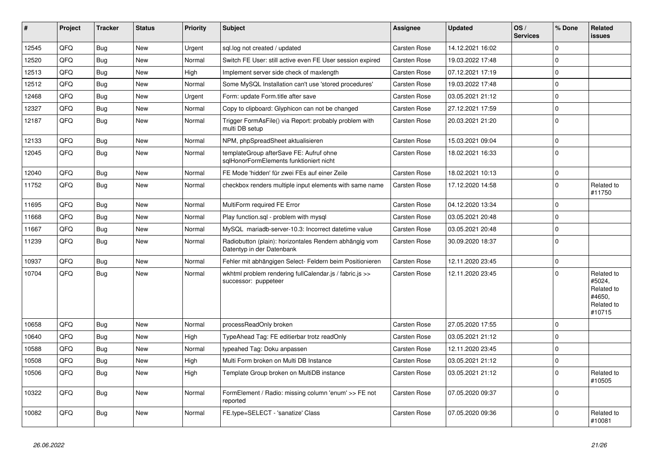| #     | Project | <b>Tracker</b> | <b>Status</b> | <b>Priority</b> | <b>Subject</b>                                                                      | <b>Assignee</b> | <b>Updated</b>   | OS/<br><b>Services</b> | % Done      | Related<br>issues                                                    |
|-------|---------|----------------|---------------|-----------------|-------------------------------------------------------------------------------------|-----------------|------------------|------------------------|-------------|----------------------------------------------------------------------|
| 12545 | QFQ     | Bug            | <b>New</b>    | Urgent          | sql.log not created / updated                                                       | Carsten Rose    | 14.12.2021 16:02 |                        | $\mathbf 0$ |                                                                      |
| 12520 | QFQ     | <b>Bug</b>     | <b>New</b>    | Normal          | Switch FE User: still active even FE User session expired                           | Carsten Rose    | 19.03.2022 17:48 |                        | $\Omega$    |                                                                      |
| 12513 | QFQ     | Bug            | <b>New</b>    | High            | Implement server side check of maxlength                                            | Carsten Rose    | 07.12.2021 17:19 |                        | $\mathbf 0$ |                                                                      |
| 12512 | QFQ     | <b>Bug</b>     | <b>New</b>    | Normal          | Some MySQL Installation can't use 'stored procedures'                               | Carsten Rose    | 19.03.2022 17:48 |                        | $\mathbf 0$ |                                                                      |
| 12468 | QFQ     | Bug            | <b>New</b>    | Urgent          | Form: update Form.title after save                                                  | Carsten Rose    | 03.05.2021 21:12 |                        | $\mathbf 0$ |                                                                      |
| 12327 | QFQ     | <b>Bug</b>     | <b>New</b>    | Normal          | Copy to clipboard: Glyphicon can not be changed                                     | Carsten Rose    | 27.12.2021 17:59 |                        | $\pmb{0}$   |                                                                      |
| 12187 | QFQ     | <b>Bug</b>     | New           | Normal          | Trigger FormAsFile() via Report: probably problem with<br>multi DB setup            | Carsten Rose    | 20.03.2021 21:20 |                        | $\Omega$    |                                                                      |
| 12133 | QFQ     | <b>Bug</b>     | <b>New</b>    | Normal          | NPM, phpSpreadSheet aktualisieren                                                   | Carsten Rose    | 15.03.2021 09:04 |                        | $\mathbf 0$ |                                                                      |
| 12045 | QFQ     | Bug            | <b>New</b>    | Normal          | templateGroup afterSave FE: Aufruf ohne<br>sglHonorFormElements funktioniert nicht  | Carsten Rose    | 18.02.2021 16:33 |                        | $\mathbf 0$ |                                                                      |
| 12040 | QFQ     | <b>Bug</b>     | <b>New</b>    | Normal          | FE Mode 'hidden' für zwei FEs auf einer Zeile                                       | Carsten Rose    | 18.02.2021 10:13 |                        | $\mathbf 0$ |                                                                      |
| 11752 | QFQ     | <b>Bug</b>     | <b>New</b>    | Normal          | checkbox renders multiple input elements with same name                             | Carsten Rose    | 17.12.2020 14:58 |                        | $\mathbf 0$ | Related to<br>#11750                                                 |
| 11695 | QFQ     | Bug            | <b>New</b>    | Normal          | MultiForm required FE Error                                                         | Carsten Rose    | 04.12.2020 13:34 |                        | $\mathbf 0$ |                                                                      |
| 11668 | QFQ     | <b>Bug</b>     | <b>New</b>    | Normal          | Play function.sql - problem with mysql                                              | Carsten Rose    | 03.05.2021 20:48 |                        | $\pmb{0}$   |                                                                      |
| 11667 | QFQ     | <b>Bug</b>     | <b>New</b>    | Normal          | MySQL mariadb-server-10.3: Incorrect datetime value                                 | Carsten Rose    | 03.05.2021 20:48 |                        | $\pmb{0}$   |                                                                      |
| 11239 | QFQ     | <b>Bug</b>     | <b>New</b>    | Normal          | Radiobutton (plain): horizontales Rendern abhängig vom<br>Datentyp in der Datenbank | Carsten Rose    | 30.09.2020 18:37 |                        | $\mathbf 0$ |                                                                      |
| 10937 | QFQ     | Bug            | <b>New</b>    | Normal          | Fehler mit abhängigen Select- Feldern beim Positionieren                            | Carsten Rose    | 12.11.2020 23:45 |                        | $\pmb{0}$   |                                                                      |
| 10704 | QFQ     | Bug            | <b>New</b>    | Normal          | wkhtml problem rendering fullCalendar.js / fabric.js >><br>successor: puppeteer     | Carsten Rose    | 12.11.2020 23:45 |                        | $\Omega$    | Related to<br>#5024,<br>Related to<br>#4650,<br>Related to<br>#10715 |
| 10658 | QFQ     | <b>Bug</b>     | <b>New</b>    | Normal          | processReadOnly broken                                                              | Carsten Rose    | 27.05.2020 17:55 |                        | $\mathbf 0$ |                                                                      |
| 10640 | QFQ     | Bug            | <b>New</b>    | High            | TypeAhead Tag: FE editierbar trotz readOnly                                         | Carsten Rose    | 03.05.2021 21:12 |                        | $\pmb{0}$   |                                                                      |
| 10588 | QFQ     | <b>Bug</b>     | <b>New</b>    | Normal          | typeahed Tag: Doku anpassen                                                         | Carsten Rose    | 12.11.2020 23:45 |                        | $\mathbf 0$ |                                                                      |
| 10508 | QFQ     | Bug            | <b>New</b>    | High            | Multi Form broken on Multi DB Instance                                              | Carsten Rose    | 03.05.2021 21:12 |                        | $\pmb{0}$   |                                                                      |
| 10506 | QFQ     | <b>Bug</b>     | <b>New</b>    | High            | Template Group broken on MultiDB instance                                           | Carsten Rose    | 03.05.2021 21:12 |                        | $\mathbf 0$ | Related to<br>#10505                                                 |
| 10322 | QFQ     | Bug            | New           | Normal          | FormElement / Radio: missing column 'enum' >> FE not<br>reported                    | Carsten Rose    | 07.05.2020 09:37 |                        | $\mathbf 0$ |                                                                      |
| 10082 | QFQ     | Bug            | <b>New</b>    | Normal          | FE.type=SELECT - 'sanatize' Class                                                   | Carsten Rose    | 07.05.2020 09:36 |                        | $\mathbf 0$ | Related to<br>#10081                                                 |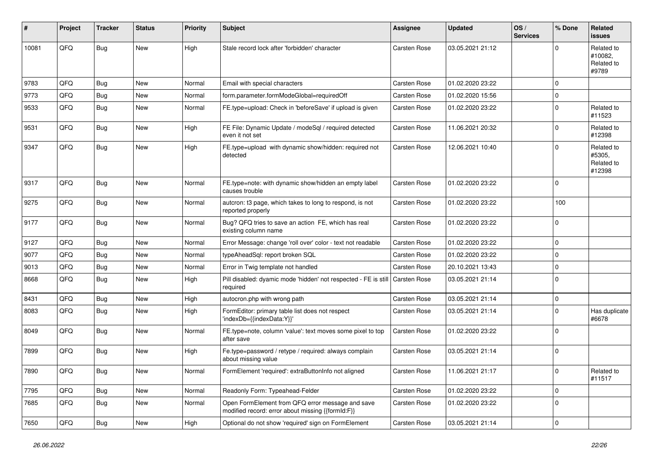| ∦     | Project | <b>Tracker</b> | <b>Status</b> | <b>Priority</b> | Subject                                                                                               | <b>Assignee</b>     | <b>Updated</b>   | OS/<br><b>Services</b> | % Done      | Related<br>issues                            |
|-------|---------|----------------|---------------|-----------------|-------------------------------------------------------------------------------------------------------|---------------------|------------------|------------------------|-------------|----------------------------------------------|
| 10081 | QFQ     | <b>Bug</b>     | <b>New</b>    | High            | Stale record lock after 'forbidden' character                                                         | Carsten Rose        | 03.05.2021 21:12 |                        | $\Omega$    | Related to<br>#10082.<br>Related to<br>#9789 |
| 9783  | QFQ     | <b>Bug</b>     | <b>New</b>    | Normal          | Email with special characters                                                                         | <b>Carsten Rose</b> | 01.02.2020 23:22 |                        | $\Omega$    |                                              |
| 9773  | QFQ     | <b>Bug</b>     | New           | Normal          | form.parameter.formModeGlobal=requiredOff                                                             | Carsten Rose        | 01.02.2020 15:56 |                        | $\mathbf 0$ |                                              |
| 9533  | QFQ     | <b>Bug</b>     | New           | Normal          | FE.type=upload: Check in 'beforeSave' if upload is given                                              | Carsten Rose        | 01.02.2020 23:22 |                        | $\mathbf 0$ | Related to<br>#11523                         |
| 9531  | QFQ     | <b>Bug</b>     | <b>New</b>    | High            | FE File: Dynamic Update / modeSql / required detected<br>even it not set                              | Carsten Rose        | 11.06.2021 20:32 |                        | $\Omega$    | Related to<br>#12398                         |
| 9347  | QFQ     | <b>Bug</b>     | New           | High            | FE.type=upload with dynamic show/hidden: required not<br>detected                                     | Carsten Rose        | 12.06.2021 10:40 |                        | $\Omega$    | Related to<br>#5305,<br>Related to<br>#12398 |
| 9317  | QFQ     | Bug            | New           | Normal          | FE.type=note: with dynamic show/hidden an empty label<br>causes trouble                               | Carsten Rose        | 01.02.2020 23:22 |                        | $\Omega$    |                                              |
| 9275  | QFQ     | <b>Bug</b>     | New           | Normal          | autcron: t3 page, which takes to long to respond, is not<br>reported properly                         | Carsten Rose        | 01.02.2020 23:22 |                        | 100         |                                              |
| 9177  | QFQ     | Bug            | New           | Normal          | Bug? QFQ tries to save an action FE, which has real<br>existing column name                           | <b>Carsten Rose</b> | 01.02.2020 23:22 |                        | $\Omega$    |                                              |
| 9127  | QFQ     | Bug            | <b>New</b>    | Normal          | Error Message: change 'roll over' color - text not readable                                           | <b>Carsten Rose</b> | 01.02.2020 23:22 |                        | $\mathbf 0$ |                                              |
| 9077  | QFQ     | <b>Bug</b>     | New           | Normal          | typeAheadSql: report broken SQL                                                                       | Carsten Rose        | 01.02.2020 23:22 |                        | $\mathbf 0$ |                                              |
| 9013  | QFQ     | <b>Bug</b>     | <b>New</b>    | Normal          | Error in Twig template not handled                                                                    | Carsten Rose        | 20.10.2021 13:43 |                        | $\mathbf 0$ |                                              |
| 8668  | QFQ     | <b>Bug</b>     | New           | High            | Pill disabled: dyamic mode 'hidden' not respected - FE is still<br>required                           | <b>Carsten Rose</b> | 03.05.2021 21:14 |                        | $\Omega$    |                                              |
| 8431  | QFQ     | <b>Bug</b>     | New           | High            | autocron.php with wrong path                                                                          | Carsten Rose        | 03.05.2021 21:14 |                        | $\mathbf 0$ |                                              |
| 8083  | QFQ     | <b>Bug</b>     | New           | High            | FormEditor: primary table list does not respect<br>'indexDb={{indexData:Y}}'                          | Carsten Rose        | 03.05.2021 21:14 |                        | $\mathbf 0$ | Has duplicate<br>#6678                       |
| 8049  | QFQ     | Bug            | New           | Normal          | FE.type=note, column 'value': text moves some pixel to top<br>after save                              | Carsten Rose        | 01.02.2020 23:22 |                        | $\Omega$    |                                              |
| 7899  | QFQ     | <b>Bug</b>     | New           | High            | Fe.type=password / retype / required: always complain<br>about missing value                          | Carsten Rose        | 03.05.2021 21:14 |                        | $\mathbf 0$ |                                              |
| 7890  | QFG     | <b>Bug</b>     | New           | Normal          | FormElement 'required': extraButtonInfo not aligned                                                   | Carsten Rose        | 11.06.2021 21:17 |                        | O           | Related to<br>#11517                         |
| 7795  | QFQ     | <b>Bug</b>     | New           | Normal          | Readonly Form: Typeahead-Felder                                                                       | Carsten Rose        | 01.02.2020 23:22 |                        | $\mathbf 0$ |                                              |
| 7685  | QFQ     | <b>Bug</b>     | New           | Normal          | Open FormElement from QFQ error message and save<br>modified record: error about missing {{formId:F}} | Carsten Rose        | 01.02.2020 23:22 |                        | $\mathbf 0$ |                                              |
| 7650  | QFG     | <b>Bug</b>     | New           | High            | Optional do not show 'required' sign on FormElement                                                   | Carsten Rose        | 03.05.2021 21:14 |                        | $\pmb{0}$   |                                              |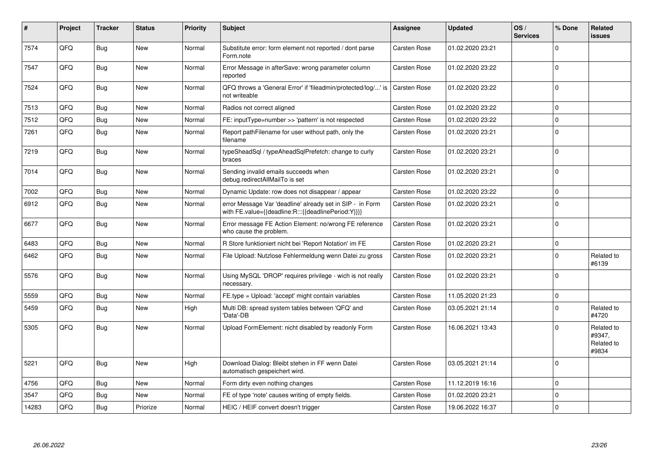| #     | Project | <b>Tracker</b> | <b>Status</b> | <b>Priority</b> | <b>Subject</b>                                                                                                   | <b>Assignee</b>     | <b>Updated</b>   | OS/<br><b>Services</b> | % Done      | Related<br><b>issues</b>                    |
|-------|---------|----------------|---------------|-----------------|------------------------------------------------------------------------------------------------------------------|---------------------|------------------|------------------------|-------------|---------------------------------------------|
| 7574  | QFQ     | Bug            | <b>New</b>    | Normal          | Substitute error: form element not reported / dont parse<br>Form.note                                            | Carsten Rose        | 01.02.2020 23:21 |                        | $\mathbf 0$ |                                             |
| 7547  | QFQ     | <b>Bug</b>     | New           | Normal          | Error Message in afterSave: wrong parameter column<br>reported                                                   | Carsten Rose        | 01.02.2020 23:22 |                        | $\mathbf 0$ |                                             |
| 7524  | QFQ     | Bug            | <b>New</b>    | Normal          | QFQ throws a 'General Error' if 'fileadmin/protected/log/' is<br>not writeable                                   | Carsten Rose        | 01.02.2020 23:22 |                        | $\Omega$    |                                             |
| 7513  | QFQ     | Bug            | New           | Normal          | Radios not correct aligned                                                                                       | <b>Carsten Rose</b> | 01.02.2020 23:22 |                        | $\mathbf 0$ |                                             |
| 7512  | QFQ     | <b>Bug</b>     | New           | Normal          | FE: inputType=number >> 'pattern' is not respected                                                               | <b>Carsten Rose</b> | 01.02.2020 23:22 |                        | $\mathbf 0$ |                                             |
| 7261  | QFQ     | <b>Bug</b>     | <b>New</b>    | Normal          | Report pathFilename for user without path, only the<br>filename                                                  | Carsten Rose        | 01.02.2020 23:21 |                        | $\Omega$    |                                             |
| 7219  | QFQ     | Bug            | <b>New</b>    | Normal          | typeSheadSql / typeAheadSqlPrefetch: change to curly<br>braces                                                   | Carsten Rose        | 01.02.2020 23:21 |                        | $\Omega$    |                                             |
| 7014  | QFQ     | <b>Bug</b>     | <b>New</b>    | Normal          | Sending invalid emails succeeds when<br>debug.redirectAllMailTo is set                                           | Carsten Rose        | 01.02.2020 23:21 |                        | $\mathbf 0$ |                                             |
| 7002  | QFQ     | Bug            | New           | Normal          | Dynamic Update: row does not disappear / appear                                                                  | Carsten Rose        | 01.02.2020 23:22 |                        | $\pmb{0}$   |                                             |
| 6912  | QFQ     | <b>Bug</b>     | <b>New</b>    | Normal          | error Message Var 'deadline' already set in SIP - in Form<br>with FE.value={{deadline:R:::{{deadlinePeriod:Y}}}} | Carsten Rose        | 01.02.2020 23:21 |                        | $\Omega$    |                                             |
| 6677  | QFQ     | Bug            | <b>New</b>    | Normal          | Error message FE Action Element: no/wrong FE reference<br>who cause the problem.                                 | Carsten Rose        | 01.02.2020 23:21 |                        | $\mathbf 0$ |                                             |
| 6483  | QFQ     | <b>Bug</b>     | New           | Normal          | R Store funktioniert nicht bei 'Report Notation' im FE                                                           | <b>Carsten Rose</b> | 01.02.2020 23:21 |                        | $\pmb{0}$   |                                             |
| 6462  | QFQ     | <b>Bug</b>     | <b>New</b>    | Normal          | File Upload: Nutzlose Fehlermeldung wenn Datei zu gross                                                          | Carsten Rose        | 01.02.2020 23:21 |                        | $\Omega$    | Related to<br>#6139                         |
| 5576  | QFQ     | Bug            | <b>New</b>    | Normal          | Using MySQL 'DROP' requires privilege - wich is not really<br>necessary.                                         | Carsten Rose        | 01.02.2020 23:21 |                        | $\mathbf 0$ |                                             |
| 5559  | QFQ     | <b>Bug</b>     | New           | Normal          | FE.type = Upload: 'accept' might contain variables                                                               | Carsten Rose        | 11.05.2020 21:23 |                        | 0           |                                             |
| 5459  | QFQ     | <b>Bug</b>     | <b>New</b>    | High            | Multi DB: spread system tables between 'QFQ' and<br>'Data'-DB                                                    | Carsten Rose        | 03.05.2021 21:14 |                        | $\Omega$    | Related to<br>#4720                         |
| 5305  | QFQ     | Bug            | <b>New</b>    | Normal          | Upload FormElement: nicht disabled by readonly Form                                                              | Carsten Rose        | 16.06.2021 13:43 |                        | $\Omega$    | Related to<br>#9347,<br>Related to<br>#9834 |
| 5221  | QFQ     | Bug            | <b>New</b>    | High            | Download Dialog: Bleibt stehen in FF wenn Datei<br>automatisch gespeichert wird.                                 | Carsten Rose        | 03.05.2021 21:14 |                        | $\Omega$    |                                             |
| 4756  | QFQ     | Bug            | New           | Normal          | Form dirty even nothing changes                                                                                  | Carsten Rose        | 11.12.2019 16:16 |                        | $\mathbf 0$ |                                             |
| 3547  | QFQ     | <b>Bug</b>     | <b>New</b>    | Normal          | FE of type 'note' causes writing of empty fields.                                                                | <b>Carsten Rose</b> | 01.02.2020 23:21 |                        | $\mathbf 0$ |                                             |
| 14283 | QFQ     | <b>Bug</b>     | Priorize      | Normal          | HEIC / HEIF convert doesn't trigger                                                                              | <b>Carsten Rose</b> | 19.06.2022 16:37 |                        | $\mathbf 0$ |                                             |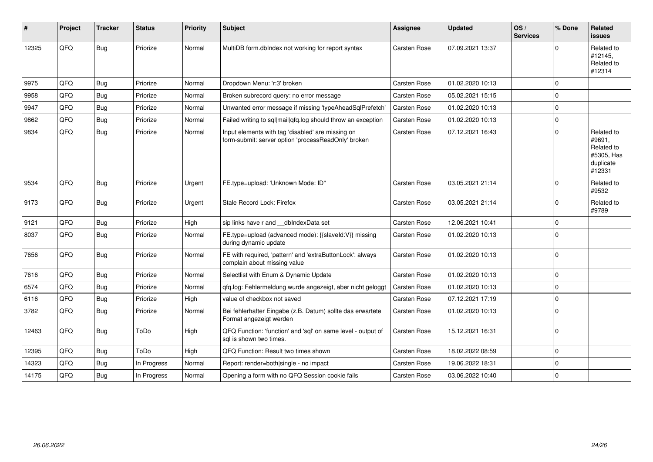| #     | Project | <b>Tracker</b> | <b>Status</b> | <b>Priority</b> | Subject                                                                                                  | <b>Assignee</b>     | <b>Updated</b>   | OS/<br><b>Services</b> | % Done         | Related<br>issues                                                       |
|-------|---------|----------------|---------------|-----------------|----------------------------------------------------------------------------------------------------------|---------------------|------------------|------------------------|----------------|-------------------------------------------------------------------------|
| 12325 | QFQ     | Bug            | Priorize      | Normal          | MultiDB form.dblndex not working for report syntax                                                       | <b>Carsten Rose</b> | 07.09.2021 13:37 |                        | 0              | Related to<br>#12145,<br>Related to<br>#12314                           |
| 9975  | QFQ     | Bug            | Priorize      | Normal          | Dropdown Menu: 'r:3' broken                                                                              | Carsten Rose        | 01.02.2020 10:13 |                        | $\Omega$       |                                                                         |
| 9958  | QFQ     | Bug            | Priorize      | Normal          | Broken subrecord query: no error message                                                                 | Carsten Rose        | 05.02.2021 15:15 |                        | 0              |                                                                         |
| 9947  | QFQ     | Bug            | Priorize      | Normal          | Unwanted error message if missing 'typeAheadSqlPrefetch'                                                 | Carsten Rose        | 01.02.2020 10:13 |                        | $\Omega$       |                                                                         |
| 9862  | QFQ     | <b>Bug</b>     | Priorize      | Normal          | Failed writing to sql mail qfq.log should throw an exception                                             | <b>Carsten Rose</b> | 01.02.2020 10:13 |                        | 0              |                                                                         |
| 9834  | QFQ     | <b>Bug</b>     | Priorize      | Normal          | Input elements with tag 'disabled' are missing on<br>form-submit: server option 'processReadOnly' broken | Carsten Rose        | 07.12.2021 16:43 |                        | $\Omega$       | Related to<br>#9691,<br>Related to<br>#5305, Has<br>duplicate<br>#12331 |
| 9534  | QFQ     | Bug            | Priorize      | Urgent          | FE.type=upload: 'Unknown Mode: ID"                                                                       | <b>Carsten Rose</b> | 03.05.2021 21:14 |                        | $\Omega$       | Related to<br>#9532                                                     |
| 9173  | QFQ     | <b>Bug</b>     | Priorize      | Urgent          | Stale Record Lock: Firefox                                                                               | Carsten Rose        | 03.05.2021 21:14 |                        | $\Omega$       | Related to<br>#9789                                                     |
| 9121  | QFQ     | Bug            | Priorize      | High            | sip links have r and __dbIndexData set                                                                   | <b>Carsten Rose</b> | 12.06.2021 10:41 |                        | $\Omega$       |                                                                         |
| 8037  | QFQ     | Bug            | Priorize      | Normal          | FE.type=upload (advanced mode): {{slaveId:V}} missing<br>during dynamic update                           | Carsten Rose        | 01.02.2020 10:13 |                        | $\Omega$       |                                                                         |
| 7656  | QFQ     | Bug            | Priorize      | Normal          | FE with required, 'pattern' and 'extraButtonLock': always<br>complain about missing value                | <b>Carsten Rose</b> | 01.02.2020 10:13 |                        | 0              |                                                                         |
| 7616  | QFQ     | <b>Bug</b>     | Priorize      | Normal          | Selectlist with Enum & Dynamic Update                                                                    | <b>Carsten Rose</b> | 01.02.2020 10:13 |                        | 0              |                                                                         |
| 6574  | OFO     | Bug            | Priorize      | Normal          | qfq.log: Fehlermeldung wurde angezeigt, aber nicht geloggt                                               | Carsten Rose        | 01.02.2020 10:13 |                        | <sup>0</sup>   |                                                                         |
| 6116  | QFQ     | Bug            | Priorize      | High            | value of checkbox not saved                                                                              | <b>Carsten Rose</b> | 07.12.2021 17:19 |                        | $\Omega$       |                                                                         |
| 3782  | QFQ     | Bug            | Priorize      | Normal          | Bei fehlerhafter Eingabe (z.B. Datum) sollte das erwartete<br>Format angezeigt werden                    | Carsten Rose        | 01.02.2020 10:13 |                        | $\Omega$       |                                                                         |
| 12463 | QFQ     | Bug            | ToDo          | High            | QFQ Function: 'function' and 'sql' on same level - output of<br>sql is shown two times.                  | <b>Carsten Rose</b> | 15.12.2021 16:31 |                        | 0              |                                                                         |
| 12395 | QFQ     | Bug            | ToDo          | High            | QFQ Function: Result two times shown                                                                     | Carsten Rose        | 18.02.2022 08:59 |                        | $\overline{0}$ |                                                                         |
| 14323 | QFQ     | <b>Bug</b>     | In Progress   | Normal          | Report: render=both single - no impact                                                                   | <b>Carsten Rose</b> | 19.06.2022 18:31 |                        | 0              |                                                                         |
| 14175 | QFQ     | Bug            | In Progress   | Normal          | Opening a form with no QFQ Session cookie fails                                                          | Carsten Rose        | 03.06.2022 10:40 |                        | 0              |                                                                         |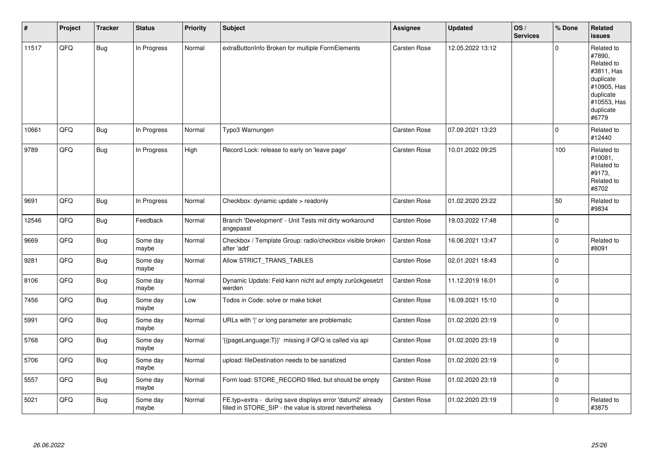| #     | Project | <b>Tracker</b> | <b>Status</b>     | Priority | <b>Subject</b>                                                                                                       | Assignee            | <b>Updated</b>   | OS/<br><b>Services</b> | % Done      | Related<br><b>issues</b>                                                                                                       |
|-------|---------|----------------|-------------------|----------|----------------------------------------------------------------------------------------------------------------------|---------------------|------------------|------------------------|-------------|--------------------------------------------------------------------------------------------------------------------------------|
| 11517 | QFQ     | <b>Bug</b>     | In Progress       | Normal   | extraButtonInfo Broken for multiple FormElements                                                                     | <b>Carsten Rose</b> | 12.05.2022 13:12 |                        | $\Omega$    | Related to<br>#7890,<br>Related to<br>#3811, Has<br>duplicate<br>#10905, Has<br>duplicate<br>#10553, Has<br>duplicate<br>#6779 |
| 10661 | QFQ     | <b>Bug</b>     | In Progress       | Normal   | Typo3 Warnungen                                                                                                      | <b>Carsten Rose</b> | 07.09.2021 13:23 |                        | $\pmb{0}$   | Related to<br>#12440                                                                                                           |
| 9789  | QFO     | <b>Bug</b>     | In Progress       | High     | Record Lock: release to early on 'leave page'                                                                        | Carsten Rose        | 10.01.2022 09:25 |                        | 100         | Related to<br>#10081,<br>Related to<br>#9173,<br>Related to<br>#8702                                                           |
| 9691  | QFQ     | <b>Bug</b>     | In Progress       | Normal   | Checkbox: dynamic update > readonly                                                                                  | <b>Carsten Rose</b> | 01.02.2020 23:22 |                        | 50          | Related to<br>#9834                                                                                                            |
| 12546 | QFO     | <b>Bug</b>     | Feedback          | Normal   | Branch 'Development' - Unit Tests mit dirty workaround<br>angepasst                                                  | Carsten Rose        | 19.03.2022 17:48 |                        | $\pmb{0}$   |                                                                                                                                |
| 9669  | QFQ     | <b>Bug</b>     | Some day<br>maybe | Normal   | Checkbox / Template Group: radio/checkbox visible broken<br>after 'add'                                              | Carsten Rose        | 16.06.2021 13:47 |                        | $\mathbf 0$ | Related to<br>#8091                                                                                                            |
| 9281  | QFQ     | Bug            | Some day<br>maybe | Normal   | Allow STRICT_TRANS_TABLES                                                                                            | Carsten Rose        | 02.01.2021 18:43 |                        | $\mathbf 0$ |                                                                                                                                |
| 8106  | QFQ     | <b>Bug</b>     | Some day<br>maybe | Normal   | Dynamic Update: Feld kann nicht auf empty zurückgesetzt<br>werden                                                    | Carsten Rose        | 11.12.2019 16:01 |                        | $\mathbf 0$ |                                                                                                                                |
| 7456  | QFQ     | <b>Bug</b>     | Some day<br>maybe | Low      | Todos in Code: solve or make ticket                                                                                  | Carsten Rose        | 16.09.2021 15:10 |                        | $\mathbf 0$ |                                                                                                                                |
| 5991  | QFQ     | <b>Bug</b>     | Some day<br>maybe | Normal   | URLs with 'I' or long parameter are problematic                                                                      | <b>Carsten Rose</b> | 01.02.2020 23:19 |                        | $\mathbf 0$ |                                                                                                                                |
| 5768  | QFQ     | <b>Bug</b>     | Some day<br>maybe | Normal   | {{pageLanguage:T}}' missing if QFQ is called via api                                                                 | Carsten Rose        | 01.02.2020 23:19 |                        | $\mathbf 0$ |                                                                                                                                |
| 5706  | QFO     | <b>Bug</b>     | Some day<br>maybe | Normal   | upload: fileDestination needs to be sanatized                                                                        | Carsten Rose        | 01.02.2020 23:19 |                        | $\pmb{0}$   |                                                                                                                                |
| 5557  | QFQ     | <b>Bug</b>     | Some day<br>maybe | Normal   | Form load: STORE_RECORD filled, but should be empty                                                                  | Carsten Rose        | 01.02.2020 23:19 |                        | $\Omega$    |                                                                                                                                |
| 5021  | QFQ     | <b>Bug</b>     | Some day<br>maybe | Normal   | FE.typ=extra - during save displays error 'datum2' already<br>filled in STORE_SIP - the value is stored nevertheless | Carsten Rose        | 01.02.2020 23:19 |                        | $\mathbf 0$ | Related to<br>#3875                                                                                                            |